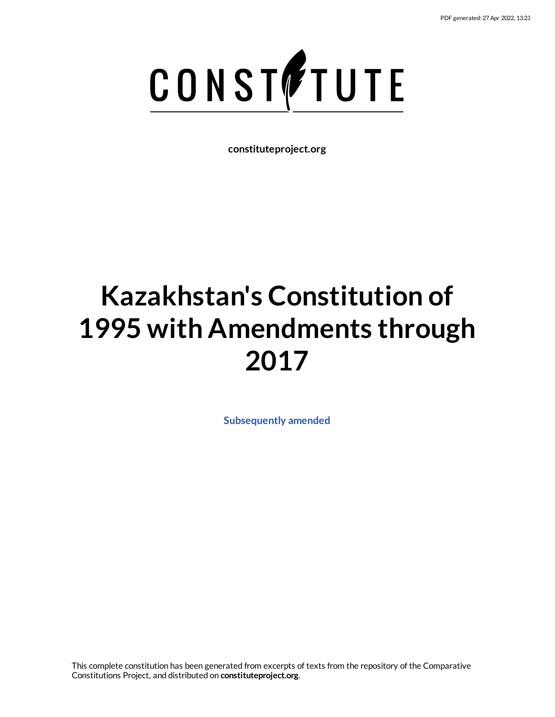

**constituteproject.org**

# **Kazakhstan's Constitution of 1995 with Amendments through 2017**

**[Subsequently](https://www.constituteproject.org/Asia/Kazakhstan_2017?lang=en) amended**

This complete constitution has been generated from excerpts of texts from the repository of the Comparative Constitutions Project, and distributed on **constituteproject.org**.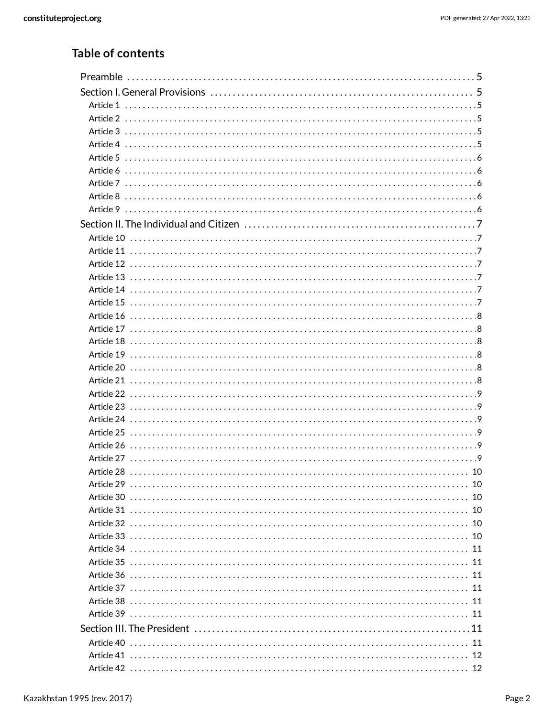### **Table of contents**

| 10                                              |  |
|-------------------------------------------------|--|
| 10                                              |  |
| 10                                              |  |
|                                                 |  |
| 11                                              |  |
| 11                                              |  |
| 11                                              |  |
|                                                 |  |
|                                                 |  |
|                                                 |  |
|                                                 |  |
|                                                 |  |
| Article 41 ……………………………………………………………………………………… 12 |  |
|                                                 |  |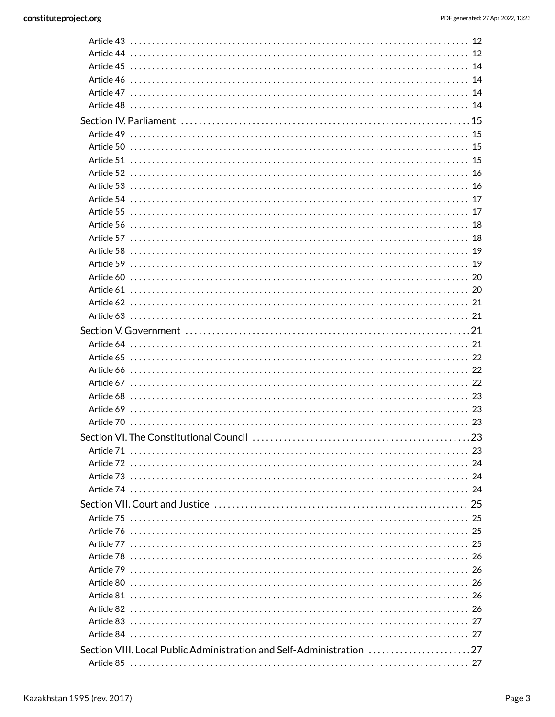| Article 45 ……………………………………………………………………………………… 14                   |  |
|-------------------------------------------------------------------|--|
| Article 46 ……………………………………………………………………………………… 14                   |  |
|                                                                   |  |
|                                                                   |  |
|                                                                   |  |
|                                                                   |  |
|                                                                   |  |
|                                                                   |  |
|                                                                   |  |
|                                                                   |  |
| Article 54 ……………………………………………………………………………………… 17                   |  |
| Article 55 ……………………………………………………………………………………… 17                   |  |
|                                                                   |  |
|                                                                   |  |
|                                                                   |  |
|                                                                   |  |
|                                                                   |  |
|                                                                   |  |
|                                                                   |  |
|                                                                   |  |
|                                                                   |  |
|                                                                   |  |
|                                                                   |  |
|                                                                   |  |
|                                                                   |  |
|                                                                   |  |
|                                                                   |  |
|                                                                   |  |
|                                                                   |  |
|                                                                   |  |
|                                                                   |  |
|                                                                   |  |
|                                                                   |  |
|                                                                   |  |
|                                                                   |  |
|                                                                   |  |
|                                                                   |  |
|                                                                   |  |
|                                                                   |  |
|                                                                   |  |
|                                                                   |  |
|                                                                   |  |
|                                                                   |  |
| Article 83 ……………………………………………………………………………………… 27                   |  |
|                                                                   |  |
| Section VIII. Local Public Administration and Self-Administration |  |
|                                                                   |  |
|                                                                   |  |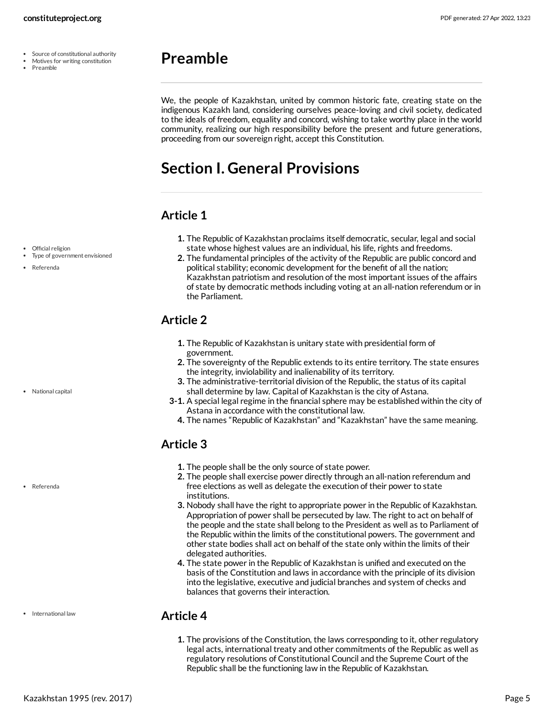- Source of constitutional authority
- Motives for writing constitution

<span id="page-4-0"></span>We, the people of Kazakhstan, united by common historic fate, creating state on the indigenous Kazakh land, considering ourselves peace-loving and civil society, dedicated to the ideals of freedom, equality and concord, wishing to take worthy place in the world community, realizing our high responsibility before the present and future generations, proceeding from our sovereign right, accept this Constitution.

### <span id="page-4-1"></span>**Section I. General Provisions**

#### <span id="page-4-2"></span>**Article 1**

- Official religion
- Type of government envisioned
- Referenda

National capital

Referenda

• International law

#### **1.** The Republic of Kazakhstan proclaims itself democratic, secular, legal and social state whose highest values are an individual, his life, rights and freedoms.

**2.** The fundamental principles of the activity of the Republic are public concord and political stability; economic development for the benefit of all the nation; Kazakhstan patriotism and resolution of the most important issues of the affairs of state by democratic methods including voting at an all-nation referendum or in the Parliament.

### <span id="page-4-3"></span>**Article 2**

- **1.** The Republic of Kazakhstan is unitary state with presidential form of government.
- **2.** The sovereignty of the Republic extends to its entire territory. The state ensures the integrity, inviolability and inalienability of its territory.
- **3.** The administrative-territorial division of the Republic, the status of its capital shall determine by law. Capital of Kazakhstan is the city of Astana.
- **3-1.** A special legal regime in the financial sphere may be established within the city of Astana in accordance with the constitutional law.
	- **4.** The names "Republic of Kazakhstan" and "Kazakhstan" have the same meaning.

### <span id="page-4-4"></span>**Article 3**

- **1.** The people shall be the only source of state power.
- **2.** The people shall exercise power directly through an all-nation referendum and free elections as well as delegate the execution of their power to state institutions.
- **3.** Nobody shall have the right to appropriate power in the Republic of Kazakhstan. Appropriation of power shall be persecuted by law. The right to act on behalf of the people and the state shall belong to the President as well as to Parliament of the Republic within the limits of the constitutional powers. The government and other state bodies shall act on behalf of the state only within the limits of their delegated authorities.
- **4.** The state power in the Republic of Kazakhstan is unified and executed on the basis of the Constitution and laws in accordance with the principle of its division into the legislative, executive and judicial branches and system of checks and balances that governs their interaction.

#### <span id="page-4-5"></span>**Article 4**

**1.** The provisions of the Constitution, the laws corresponding to it, other regulatory legal acts, international treaty and other commitments of the Republic as well as regulatory resolutions of Constitutional Council and the Supreme Court of the Republic shall be the functioning law in the Republic of Kazakhstan.

Kazakhstan 1995 (rev. 2017) Page 5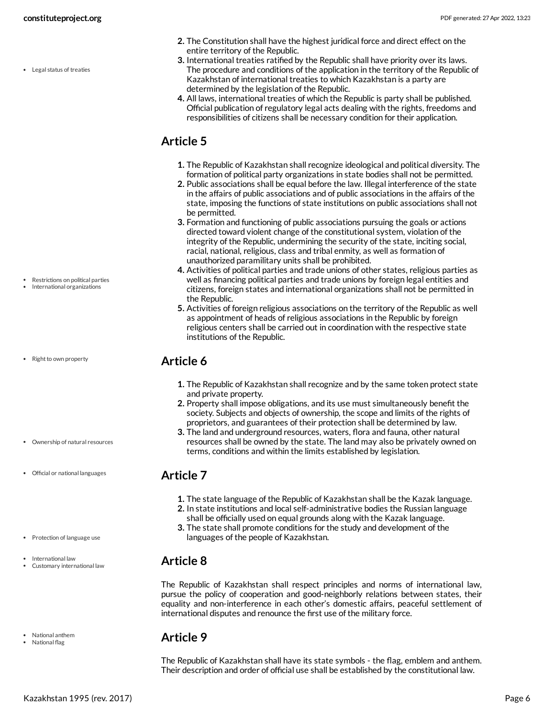Legal status of treaties

International organizations

Restrictions on political parties

• Right to own property

- Ownership of natural resources
- Official or national languages
- Protection of language use
- International law
- Customary international law
- National anthem
- National flag
- **2.** The Constitution shall have the highest juridical force and direct effect on the entire territory of the Republic.
- **3.** International treaties ratified by the Republic shall have priority over its laws. The procedure and conditions of the application in the territory of the Republic of Kazakhstan of international treaties to which Kazakhstan is a party are determined by the legislation of the Republic.
- **4.** All laws, international treaties of which the Republic is party shall be published. Official publication of regulatory legal acts dealing with the rights, freedoms and responsibilities of citizens shall be necessary condition for their application.

### <span id="page-5-0"></span>**Article 5**

- **1.** The Republic of Kazakhstan shall recognize ideological and political diversity. The formation of political party organizations in state bodies shall not be permitted.
- **2.** Public associations shall be equal before the law. Illegal interference of the state in the affairs of public associations and of public associations in the affairs of the state, imposing the functions of state institutions on public associations shall not be permitted.
- **3.** Formation and functioning of public associations pursuing the goals or actions directed toward violent change of the constitutional system, violation of the integrity of the Republic, undermining the security of the state, inciting social, racial, national, religious, class and tribal enmity, as well as formation of unauthorized paramilitary units shall be prohibited.
- **4.** Activities of political parties and trade unions of other states, religious parties as well as financing political parties and trade unions by foreign legal entities and citizens, foreign states and international organizations shall not be permitted in the Republic.
- **5.** Activities of foreign religious associations on the territory of the Republic as well as appointment of heads of religious associations in the Republic by foreign religious centers shall be carried out in coordination with the respective state institutions of the Republic.

#### <span id="page-5-1"></span>**Article 6**

- **1.** The Republic of Kazakhstan shall recognize and by the same token protect state and private property.
- **2.** Property shall impose obligations, and its use must simultaneously benefit the society. Subjects and objects of ownership, the scope and limits of the rights of proprietors, and guarantees of their protection shall be determined by law.
- **3.** The land and underground resources, waters, flora and fauna, other natural resources shall be owned by the state. The land may also be privately owned on terms, conditions and within the limits established by legislation.

#### <span id="page-5-2"></span>**Article 7**

- **1.** The state language of the Republic of Kazakhstan shall be the Kazak language.
- **2.** In state institutions and local self-administrative bodies the Russian language shall be officially used on equal grounds along with the Kazak language.
- **3.** The state shall promote conditions for the study and development of the languages of the people of Kazakhstan.

#### <span id="page-5-3"></span>**Article 8**

The Republic of Kazakhstan shall respect principles and norms of international law, pursue the policy of cooperation and good-neighborly relations between states, their equality and non-interference in each other's domestic affairs, peaceful settlement of international disputes and renounce the first use of the military force.

#### <span id="page-5-4"></span>**Article 9**

The Republic of Kazakhstan shall have its state symbols - the flag, emblem and anthem. Their description and order of official use shall be established by the constitutional law.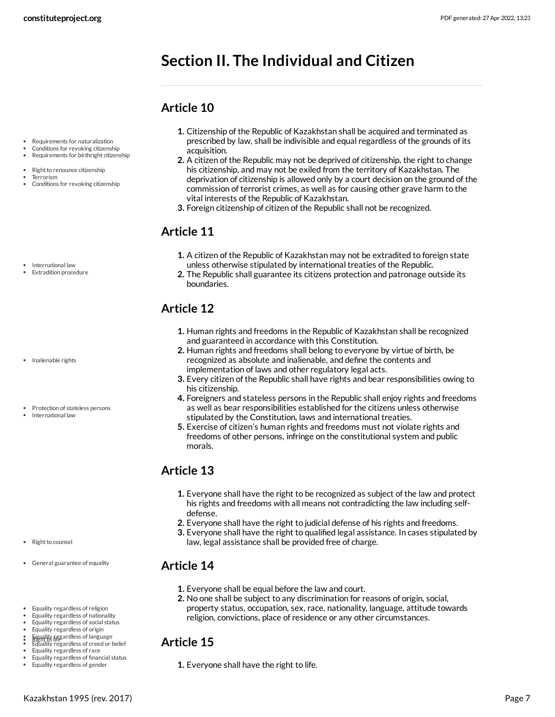### <span id="page-6-0"></span>**Section II. The Individual and Citizen**

### <span id="page-6-1"></span>**Article 10**

- Requirements for naturalization
- Conditions for revoking citizenship Requirements for birthright citizenship
- 
- Right to renounce citizenship Terrorism
- Conditions for revoking citizenship

- International law
- Extradition procedure

- Inalienable rights
- Protection of stateless persons
- International law

- Right to counsel
- General guarantee of equality
- Equality regardless of religion
- Equality regardless of nationality
- Equality regardless of social status
- Equality regardless of origin
- Equality regardless of language<br>Right to life<br>Equality regardless of creed or belief
- Equality regardless of race
- Equality regardless of financial status
- Equality regardless of gender
- **1.** Citizenship of the Republic of Kazakhstan shall be acquired and terminated as prescribed by law, shall be indivisible and equal regardless of the grounds of its acquisition.
- **2.** A citizen of the Republic may not be deprived of citizenship, the right to change his citizenship, and may not be exiled from the territory of Kazakhstan. The deprivation of citizenship is allowed only by a court decision on the ground of the commission of terrorist crimes, as well as for causing other grave harm to the vital interests of the Republic of Kazakhstan.
- **3.** Foreign citizenship of citizen of the Republic shall not be recognized.

### <span id="page-6-2"></span>**Article 11**

- **1.** A citizen of the Republic of Kazakhstan may not be extradited to foreign state unless otherwise stipulated by international treaties of the Republic.
- **2.** The Republic shall guarantee its citizens protection and patronage outside its boundaries.

### <span id="page-6-3"></span>**Article 12**

- **1.** Human rights and freedoms in the Republic of Kazakhstan shall be recognized and guaranteed in accordance with this Constitution.
- **2.** Human rights and freedoms shall belong to everyone by virtue of birth, be recognized as absolute and inalienable, and define the contents and implementation of laws and other regulatory legal acts.
- **3.** Every citizen of the Republic shall have rights and bear responsibilities owing to his citizenship.
- **4.** Foreigners and stateless persons in the Republic shall enjoy rights and freedoms as well as bear responsibilities established for the citizens unless otherwise stipulated by the Constitution, laws and international treaties.
- **5.** Exercise of citizen's human rights and freedoms must not violate rights and freedoms of other persons, infringe on the constitutional system and public morals.

#### <span id="page-6-4"></span>**Article 13**

- **1.** Everyone shall have the right to be recognized as subject of the law and protect his rights and freedoms with all means not contradicting the law including selfdefense.
- **2.** Everyone shall have the right to judicial defense of his rights and freedoms.
- **3.** Everyone shall have the right to qualified legal assistance. In cases stipulated by law, legal assistance shall be provided free of charge.

#### <span id="page-6-5"></span>**Article 14**

- **1.** Everyone shall be equal before the law and court.
- **2.** No one shall be subject to any discrimination for reasons of origin, social, property status, occupation, sex, race, nationality, language, attitude towards religion, convictions, place of residence or any other circumstances.

#### <span id="page-6-6"></span>**Article 15**

**1.** Everyone shall have the right to life.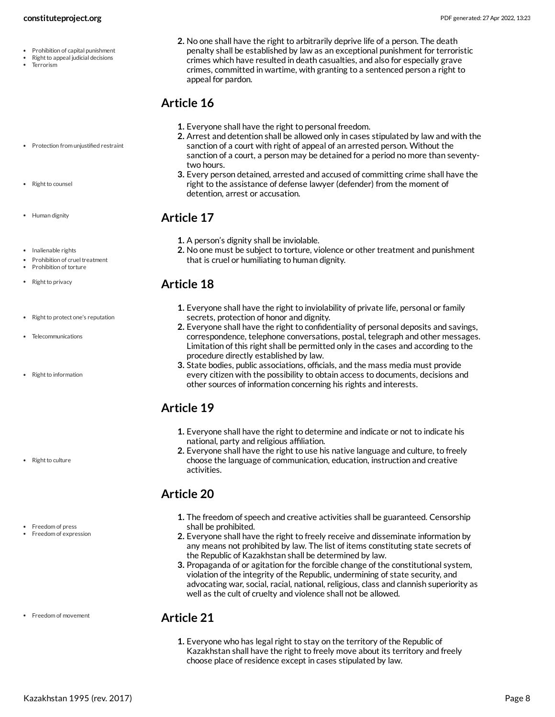- Prohibition of capital punishment
- Right to appeal judicial decisions
- Terrorism
- Protection from unjustified restraint
- Right to counsel
- Human dignity
- Inalienable rights
- Prohibition of cruel treatment
- Prohibition of torture
- Right to privacy
- Right to protect one's reputation
- Telecommunications
- Right to information

- Right to culture
- Freedom of press Freedom of expression

• Freedom of movement

**2.** No one shall have the right to arbitrarily deprive life of a person. The death penalty shall be established by law as an exceptional punishment for terroristic crimes which have resulted in death casualties, and also for especially grave crimes, committed in wartime, with granting to a sentenced person a right to appeal for pardon.

### <span id="page-7-0"></span>**Article 16**

- **1.** Everyone shall have the right to personal freedom.
- **2.** Arrest and detention shall be allowed only in cases stipulated by law and with the sanction of a court with right of appeal of an arrested person. Without the sanction of a court, a person may be detained for a period no more than seventytwo hours.
- **3.** Every person detained, arrested and accused of committing crime shall have the right to the assistance of defense lawyer (defender) from the moment of detention, arrest or accusation.

### <span id="page-7-1"></span>**Article 17**

- **1.** A person's dignity shall be inviolable.
- **2.** No one must be subject to torture, violence or other treatment and punishment that is cruel or humiliating to human dignity.

### <span id="page-7-2"></span>**Article 18**

- **1.** Everyone shall have the right to inviolability of private life, personal or family secrets, protection of honor and dignity.
- **2.** Everyone shall have the right to confidentiality of personal deposits and savings, correspondence, telephone conversations, postal, telegraph and other messages. Limitation of this right shall be permitted only in the cases and according to the procedure directly established by law.
- **3.** State bodies, public associations, officials, and the mass media must provide every citizen with the possibility to obtain access to documents, decisions and other sources of information concerning his rights and interests.

### <span id="page-7-3"></span>**Article 19**

- **1.** Everyone shall have the right to determine and indicate or not to indicate his national, party and religious affiliation.
- **2.** Everyone shall have the right to use his native language and culture, to freely choose the language of communication, education, instruction and creative activities.

### <span id="page-7-4"></span>**Article 20**

- **1.** The freedom of speech and creative activities shall be guaranteed. Censorship shall be prohibited.
- **2.** Everyone shall have the right to freely receive and disseminate information by any means not prohibited by law. The list of items constituting state secrets of the Republic of Kazakhstan shall be determined by law.
- **3.** Propaganda of or agitation for the forcible change of the constitutional system, violation of the integrity of the Republic, undermining of state security, and advocating war, social, racial, national, religious, class and clannish superiority as well as the cult of cruelty and violence shall not be allowed.

### <span id="page-7-5"></span>**Article 21**

**1.** Everyone who has legal right to stay on the territory of the Republic of Kazakhstan shall have the right to freely move about its territory and freely choose place of residence except in cases stipulated by law.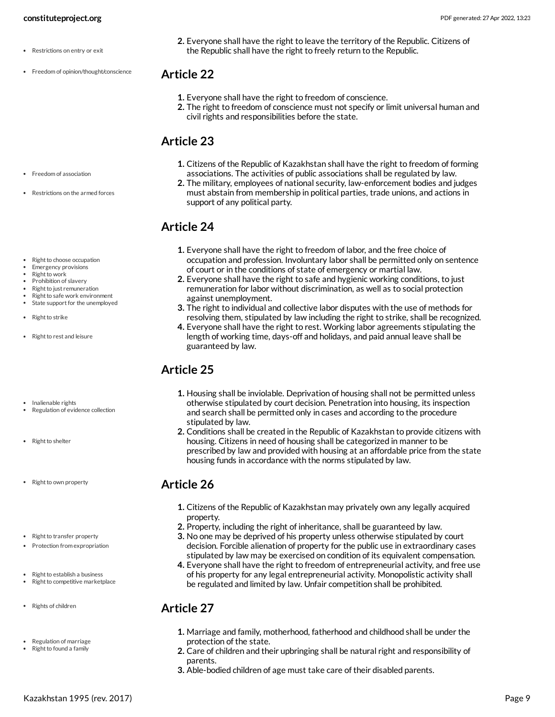- Restrictions on entry or exit
- Freedom of opinion/thought/conscience

**2.** Everyone shall have the right to leave the territory of the Republic. Citizens of the Republic shall have the right to freely return to the Republic.

#### <span id="page-8-0"></span>**Article 22**

- **1.** Everyone shall have the right to freedom of conscience.
- **2.** The right to freedom of conscience must not specify or limit universal human and civil rights and responsibilities before the state.

### <span id="page-8-1"></span>**Article 23**

- **1.** Citizens of the Republic of Kazakhstan shall have the right to freedom of forming associations. The activities of public associations shall be regulated by law.
- **2.** The military, employees of national security, law-enforcement bodies and judges must abstain from membership in political parties, trade unions, and actions in support of any political party.

### <span id="page-8-2"></span>**Article 24**

- **1.** Everyone shall have the right to freedom of labor, and the free choice of occupation and profession. Involuntary labor shall be permitted only on sentence of court or in the conditions of state of emergency or martial law.
- **2.** Everyone shall have the right to safe and hygienic working conditions, to just remuneration for labor without discrimination, as well as to social protection against unemployment.
- **3.** The right to individual and collective labor disputes with the use of methods for resolving them, stipulated by law including the right to strike, shall be recognized.
- **4.** Everyone shall have the right to rest. Working labor agreements stipulating the length of working time, days-off and holidays, and paid annual leave shall be guaranteed by law.

### <span id="page-8-3"></span>**Article 25**

- **1.** Housing shall be inviolable. Deprivation of housing shall not be permitted unless otherwise stipulated by court decision. Penetration into housing, its inspection and search shall be permitted only in cases and according to the procedure stipulated by law.
- **2.** Conditions shall be created in the Republic of Kazakhstan to provide citizens with housing. Citizens in need of housing shall be categorized in manner to be prescribed by law and provided with housing at an affordable price from the state housing funds in accordance with the norms stipulated by law.

### <span id="page-8-4"></span>**Article 26**

- **1.** Citizens of the Republic of Kazakhstan may privately own any legally acquired property.
- **2.** Property, including the right of inheritance, shall be guaranteed by law.
- **3.** No one may be deprived of his property unless otherwise stipulated by court decision. Forcible alienation of property for the public use in extraordinary cases stipulated by law may be exercised on condition of its equivalent compensation.
- **4.** Everyone shall have the right to freedom of entrepreneurial activity, and free use of his property for any legal entrepreneurial activity. Monopolistic activity shall be regulated and limited by law. Unfair competition shall be prohibited.

### <span id="page-8-5"></span>**Article 27**

- **1.** Marriage and family, motherhood, fatherhood and childhood shall be under the protection of the state.
- **2.** Care of children and their upbringing shall be natural right and responsibility of parents.
- **3.** Able-bodied children of age must take care of their disabled parents.

Restrictions on the armed forces

• Freedom of association

- Right to choose occupation
- Emergency provisions
- Right to work
- Prohibition of slavery
- Right to just remuneration Right to safe work environment
- State support for the unemployed
- Right to strike
- Right to rest and leisure
- Inalienable rights
- Regulation of evidence collection
- Right to shelter
- Right to own property
- Right to transfer property
- Protection from expropriation
- Right to establish a business Right to competitive marketplace
- Rights of children
- Regulation of marriage
- Right to found a family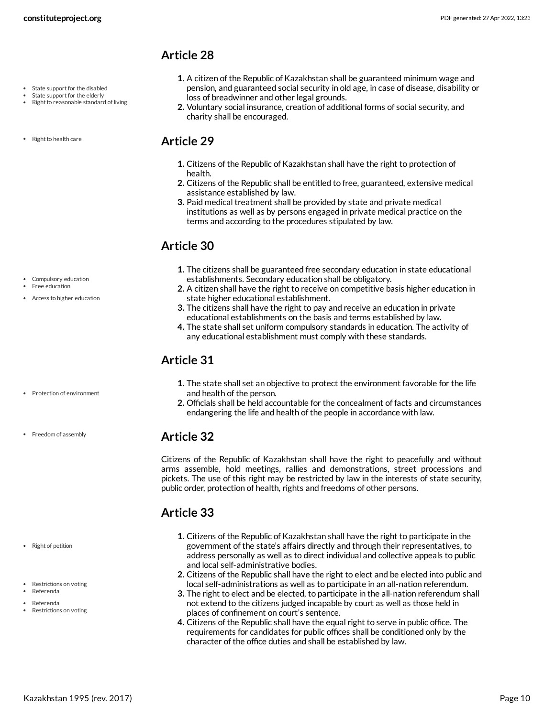- State support for the disabled
- State support for the elderly
- Right to reasonable standard of living
- Right to health care

#### <span id="page-9-1"></span>**Article 29**

**1.** Citizens of the Republic of Kazakhstan shall have the right to protection of health.

loss of breadwinner and other legal grounds.

charity shall be encouraged.

**2.** Citizens of the Republic shall be entitled to free, guaranteed, extensive medical assistance established by law.

<span id="page-9-0"></span>**1.** A citizen of the Republic of Kazakhstan shall be guaranteed minimum wage and pension, and guaranteed social security in old age, in case of disease, disability or

**2.** Voluntary social insurance, creation of additional forms of social security, and

**3.** Paid medical treatment shall be provided by state and private medical institutions as well as by persons engaged in private medical practice on the terms and according to the procedures stipulated by law.

### <span id="page-9-2"></span>**Article 30**

- **1.** The citizens shall be guaranteed free secondary education in state educational establishments. Secondary education shall be obligatory.
- **2.** A citizen shall have the right to receive on competitive basis higher education in state higher educational establishment.
- **3.** The citizens shall have the right to pay and receive an education in private educational establishments on the basis and terms established by law.
- **4.** The state shall set uniform compulsory standards in education. The activity of any educational establishment must comply with these standards.

### <span id="page-9-3"></span>**Article 31**

- **1.** The state shall set an objective to protect the environment favorable for the life and health of the person.
- **2.** Officials shall be held accountable for the concealment of facts and circumstances endangering the life and health of the people in accordance with law.

### <span id="page-9-4"></span>**Article 32**

Citizens of the Republic of Kazakhstan shall have the right to peacefully and without arms assemble, hold meetings, rallies and demonstrations, street processions and pickets. The use of this right may be restricted by law in the interests of state security, public order, protection of health, rights and freedoms of other persons.

### <span id="page-9-5"></span>**Article 33**

- **1.** Citizens of the Republic of Kazakhstan shall have the right to participate in the government of the state's affairs directly and through their representatives, to address personally as well as to direct individual and collective appeals to public and local self-administrative bodies.
- **2.** Citizens of the Republic shall have the right to elect and be elected into public and local self-administrations as well as to participate in an all-nation referendum.
- **3.** The right to elect and be elected, to participate in the all-nation referendum shall not extend to the citizens judged incapable by court as well as those held in places of confinement on court's sentence.
- <span id="page-9-6"></span>**4.** Citizens of the Republic shall have the equal right to serve in public office. The requirements for candidates for public offices shall be conditioned only by the character of the office duties and shall be established by law.

• Compulsory education Free education Access to higher education

• Protection of environment

• Freedom of assembly

- Right of petition
- Restrictions on voting
- Referenda
- Referenda Restrictions on voting

Kazakhstan 1995 (rev. 2017) Page 10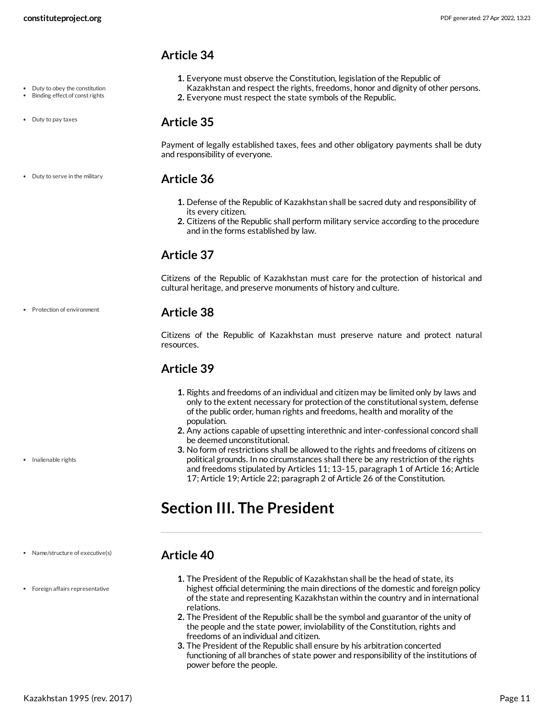- <span id="page-10-0"></span>**1.** Everyone must observe the Constitution, legislation of the Republic of
- Kazakhstan and respect the rights, freedoms, honor and dignity of other persons.
- **2.** Everyone must respect the state symbols of the Republic.

#### <span id="page-10-1"></span>**Article 35**

Payment of legally established taxes, fees and other obligatory payments shall be duty and responsibility of everyone.

#### <span id="page-10-2"></span>**Article 36**

- **1.** Defense of the Republic of Kazakhstan shall be sacred duty and responsibility of its every citizen.
- **2.** Citizens of the Republic shall perform military service according to the procedure and in the forms established by law.

### <span id="page-10-3"></span>**Article 37**

Citizens of the Republic of Kazakhstan must care for the protection of historical and cultural heritage, and preserve monuments of history and culture.

#### <span id="page-10-4"></span>**Article 38**

Citizens of the Republic of Kazakhstan must preserve nature and protect natural resources.

### <span id="page-10-5"></span>**Article 39**

- **1.** Rights and freedoms of an individual and citizen may be limited only by laws and only to the extent necessary for protection of the constitutional system, defense of the public order, human rights and freedoms, health and morality of the population.
- **2.** Any actions capable of upsetting interethnic and inter-confessional concord shall be deemed unconstitutional.
- **3.** No form of restrictions shall be allowed to the rights and freedoms of citizens on political grounds. In no circumstances shall there be any restriction of the rights and freedoms stipulated by Articles 11; 13-15, paragraph 1 of Article 16; Article 17; Article 19; Article 22; paragraph 2 of Article 26 of the Constitution.

### <span id="page-10-6"></span>**Section III. The President**

#### <span id="page-10-7"></span>**Article 40**

- **1.** The President of the Republic of Kazakhstan shall be the head of state, its highest official determining the main directions of the domestic and foreign policy of the state and representing Kazakhstan within the country and in international relations.
- **2.** The President of the Republic shall be the symbol and guarantor of the unity of the people and the state power, inviolability of the Constitution, rights and freedoms of an individual and citizen.
- **3.** The President of the Republic shall ensure by his arbitration concerted functioning of all branches of state power and responsibility of the institutions of power before the people.
- Duty to obey the constitution
- Binding effect of const rights

• Duty to serve in the military

• Duty to pay taxes

Protection of environment

• Inalienable rights

- Name/structure of executive(s)
- Foreign affairs representative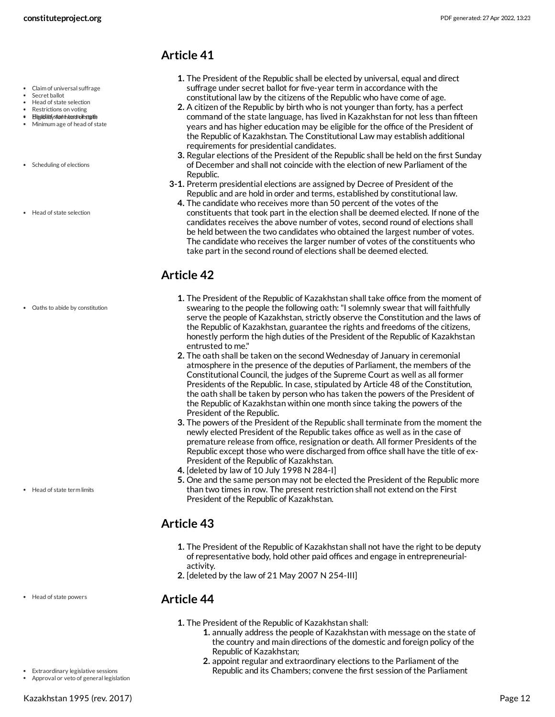- <span id="page-11-0"></span>**1.** The President of the Republic shall be elected by universal, equal and direct suffrage under secret ballot for five-year term in accordance with the constitutional law by the citizens of the Republic who have come of age.
- **2.** A citizen of the Republic by birth who is not younger than forty, has a perfect command of the state language, has lived in Kazakhstan for not less than fifteen years and has higher education may be eligible for the office of the President of the Republic of Kazakhstan. The Constitutional Law may establish additional requirements for presidential candidates.
- **3.** Regular elections of the President of the Republic shall be held on the first Sunday of December and shall not coincide with the election of new Parliament of the Republic.
- **3-1.** Preterm presidential elections are assigned by Decree of President of the Republic and are hold in order and terms, established by constitutional law.
	- **4.** The candidate who receives more than 50 percent of the votes of the constituents that took part in the election shall be deemed elected. If none of the candidates receives the above number of votes, second round of elections shall be held between the two candidates who obtained the largest number of votes. The candidate who receives the larger number of votes of the constituents who take part in the second round of elections shall be deemed elected.

### <span id="page-11-1"></span>**Article 42**

- **1.** The President of the Republic of Kazakhstan shall take office from the moment of swearing to the people the following oath:"I solemnly swear that will faithfully serve the people of Kazakhstan, strictly observe the Constitution and the laws of the Republic of Kazakhstan, guarantee the rights and freedoms of the citizens, honestly perform the high duties of the President of the Republic of Kazakhstan entrusted to me."
- **2.** The oath shall be taken on the second Wednesday of January in ceremonial atmosphere in the presence of the deputies of Parliament, the members of the Constitutional Council, the judges of the Supreme Court as well as all former Presidents of the Republic. In case, stipulated by Article 48 of the Constitution, the oath shall be taken by person who has taken the powers of the President of the Republic of Kazakhstan within one month since taking the powers of the President of the Republic.
- **3.** The powers of the President of the Republic shall terminate from the moment the newly elected President of the Republic takes office as well as in the case of premature release from office, resignation or death. All former Presidents of the Republic except those who were discharged from office shall have the title of ex-President of the Republic of Kazakhstan.
- **4.** [deleted by law of 10 July 1998 N 284-I]
- **5.** One and the same person may not be elected the President of the Republic more than two times in row. The present restriction shall not extend on the First President of the Republic of Kazakhstan.

### <span id="page-11-2"></span>**Article 43**

- **1.** The President of the Republic of Kazakhstan shall not have the right to be deputy of representative body, hold other paid offices and engage in entrepreneurialactivity.
- **2.** [deleted by the law of 21 May 2007 N 254-III]

#### <span id="page-11-3"></span>**Article 44**

- **1.** The President of the Republic of Kazakhstan shall:
	- **1.** annually address the people of Kazakhstan with message on the state of the country and main directions of the domestic and foreign policy of the Republic of Kazakhstan;
	- **2.** appoint regular and extraordinary elections to the Parliament of the Republic and its Chambers; convene the first session of the Parliament
- Claim of universal suffrage
- Secret ballot
- Head of state selection
- Restrictions on voting · Elizaibliotfstortehteardmolfestatte
- Minimum age of head of state
- Scheduling of elections
- Head of state selection

Oaths to abide by constitution

Head of state term limits

Head of state powers

Extraordinary legislative sessions

Approval or veto of general legislation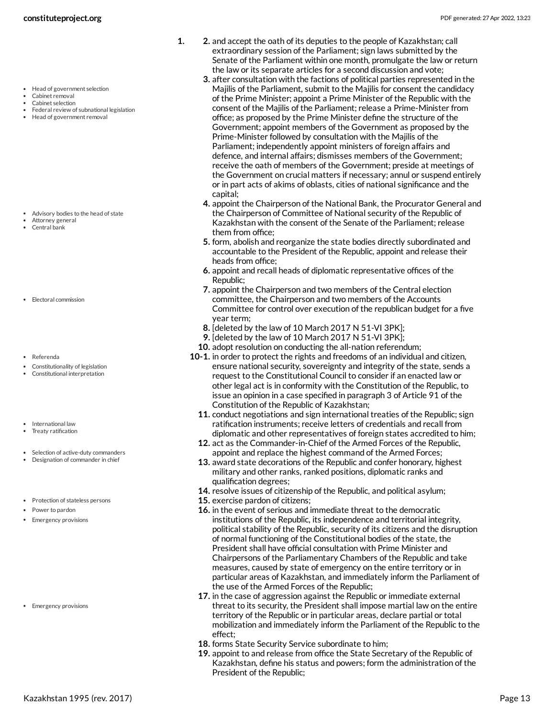- Head of government selection
- Cabinet removal
- Cabinet selection
- Federal review of subnational legislation
- Head of government removal

- Advisory bodies to the head of state
- Attorney general Central bank
- 
- Electoral commission
- Referenda
- Constitutionality of legislation
- Constitutional interpretation
- International law
- Treaty ratification
- Selection of active-duty commanders Designation of commander in chief
- Protection of stateless persons
- Power to pardon
- Emergency provisions

• Emergency provisions

- **1. 2.** and accept the oath of its deputies to the people of Kazakhstan; call extraordinary session of the Parliament; sign laws submitted by the Senate of the Parliament within one month, promulgate the law or return the law or its separate articles for a second discussion and vote;
	- **3.** after consultation with the factions of political parties represented in the Majilis of the Parliament, submit to the Majilis for consent the candidacy of the Prime Minister; appoint a Prime Minister of the Republic with the consent of the Majilis of the Parliament; release a Prime-Minister from office; as proposed by the Prime Minister define the structure of the Government; appoint members of the Government as proposed by the Prime-Minister followed by consultation with the Majilis of the Parliament; independently appoint ministers of foreign affairs and defence, and internal affairs; dismisses members of the Government; receive the oath of members of the Government; preside at meetings of the Government on crucial matters if necessary; annul or suspend entirely or in part acts of akims of oblasts, cities of national significance and the capital;
	- **4.** appoint the Chairperson of the National Bank, the Procurator General and the Chairperson of Committee of National security of the Republic of Kazakhstan with the consent of the Senate of the Parliament; release them from office;
	- **5.** form, abolish and reorganize the state bodies directly subordinated and accountable to the President of the Republic, appoint and release their heads from office;
	- **6.** appoint and recall heads of diplomatic representative offices of the Republic;
	- **7.** appoint the Chairperson and two members of the Central election committee, the Chairperson and two members of the Accounts Committee for control over execution of the republican budget for a five year term;
	- **8.** [deleted by the law of 10 March 2017 N 51-VI 3PK];
	- **9.** [deleted by the law of 10 March 2017 N 51-VI 3PK];
	- **10.** adopt resolution on conducting the all-nation referendum;
	- **10-1.** in order to protect the rights and freedoms of an individual and citizen, ensure national security, sovereignty and integrity of the state, sends a request to the Constitutional Council to consider if an enacted law or other legal act is in conformity with the Constitution of the Republic, to issue an opinion in a case specified in paragraph 3 of Article 91 of the Constitution of the Republic of Kazakhstan;
		- **11.** conduct negotiations and sign international treaties of the Republic; sign ratification instruments; receive letters of credentials and recall from diplomatic and other representatives of foreign states accredited to him;
		- **12.** act as the Commander-in-Chief of the Armed Forces of the Republic, appoint and replace the highest command of the Armed Forces;
		- **13.** award state decorations of the Republic and confer honorary, highest military and other ranks, ranked positions, diplomatic ranks and qualification degrees;
		- **14.** resolve issues of citizenship of the Republic, and political asylum;
		- **15.** exercise pardon of citizens;
		- **16.** in the event of serious and immediate threat to the democratic institutions of the Republic, its independence and territorial integrity, political stability of the Republic, security of its citizens and the disruption of normal functioning of the Constitutional bodies of the state, the President shall have official consultation with Prime Minister and Chairpersons of the Parliamentary Chambers of the Republic and take measures, caused by state of emergency on the entire territory or in particular areas of Kazakhstan, and immediately inform the Parliament of the use of the Armed Forces of the Republic;
		- **17.** in the case of aggression against the Republic or immediate external threat to its security, the President shall impose martial law on the entire territory of the Republic or in particular areas, declare partial or total mobilization and immediately inform the Parliament of the Republic to the effect;
		- **18.** forms State Security Service subordinate to him;
		- **19.** appoint to and release from office the State Secretary of the Republic of Kazakhstan, define his status and powers; form the administration of the President of the Republic;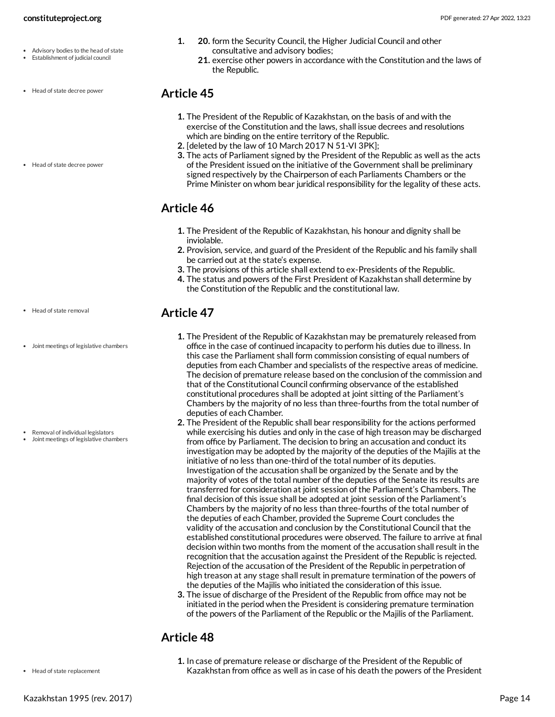- Advisory bodies to the head of state
- Establishment of judicial council
- Head of state decree power
- Head of state decree power

- Head of state removal
- Joint meetings of legislative chambers

- Removal of individual legislators
- Joint meetings of legislative chambers
- **1. 20.** form the Security Council, the Higher Judicial Council and other consultative and advisory bodies;
	- **21.** exercise other powers in accordance with the Constitution and the laws of the Republic.

- <span id="page-13-0"></span>**1.** The President of the Republic of Kazakhstan, on the basis of and with the exercise of the Constitution and the laws, shall issue decrees and resolutions which are binding on the entire territory of the Republic.
- **2.** [deleted by the law of 10 March 2017 N 51-VI 3PK];
- **3.** The acts of Parliament signed by the President of the Republic as well as the acts of the President issued on the initiative of the Government shall be preliminary signed respectively by the Chairperson of each Parliaments Chambers or the Prime Minister on whom bear juridical responsibility for the legality of these acts.

### <span id="page-13-1"></span>**Article 46**

- **1.** The President of the Republic of Kazakhstan, his honour and dignity shall be inviolable.
- **2.** Provision, service, and guard of the President of the Republic and his family shall be carried out at the state's expense.
- **3.** The provisions of this article shall extend to ex-Presidents of the Republic.
- **4.** The status and powers of the First President of Kazakhstan shall determine by the Constitution of the Republic and the constitutional law.

### <span id="page-13-2"></span>**Article 47**

- **1.** The President of the Republic of Kazakhstan may be prematurely released from office in the case of continued incapacity to perform his duties due to illness. In this case the Parliament shall form commission consisting of equal numbers of deputies from each Chamber and specialists of the respective areas of medicine. The decision of premature release based on the conclusion of the commission and that of the Constitutional Council confirming observance of the established constitutional procedures shall be adopted at joint sitting of the Parliament's Chambers by the majority of no less than three-fourths from the total number of deputies of each Chamber.
- **2.** The President of the Republic shall bear responsibility for the actions performed while exercising his duties and only in the case of high treason may be discharged from office by Parliament. The decision to bring an accusation and conduct its investigation may be adopted by the majority of the deputies of the Majilis at the initiative of no less than one-third of the total number of its deputies. Investigation of the accusation shall be organized by the Senate and by the majority of votes of the total number of the deputies of the Senate its results are transferred for consideration at joint session of the Parliament's Chambers. The final decision of this issue shall be adopted at joint session of the Parliament's Chambers by the majority of no less than three-fourths of the total number of the deputies of each Chamber, provided the Supreme Court concludes the validity of the accusation and conclusion by the Constitutional Council that the established constitutional procedures were observed. The failure to arrive at final decision within two months from the moment of the accusation shall result in the recognition that the accusation against the President of the Republic is rejected. Rejection of the accusation of the President of the Republic in perpetration of high treason at any stage shall result in premature termination of the powers of the deputies of the Majilis who initiated the consideration of this issue.
- **3.** The issue of discharge of the President of the Republic from office may not be initiated in the period when the President is considering premature termination of the powers of the Parliament of the Republic or the Majilis of the Parliament.

### <span id="page-13-3"></span>**Article 48**

**1.** In case of premature release or discharge of the President of the Republic of Kazakhstan from office as well as in case of his death the powers of the President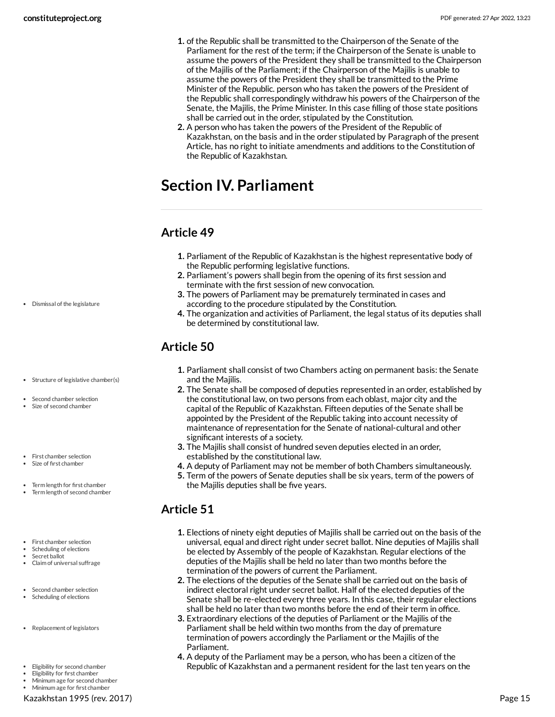- **1.** of the Republic shall be transmitted to the Chairperson of the Senate of the Parliament for the rest of the term; if the Chairperson of the Senate is unable to assume the powers of the President they shall be transmitted to the Chairperson of the Majilis of the Parliament; if the Chairperson of the Majilis is unable to assume the powers of the President they shall be transmitted to the Prime Minister of the Republic. person who has taken the powers of the President of the Republic shall correspondingly withdraw his powers of the Chairperson of the Senate, the Majilis, the Prime Minister. In this case filling of those state positions shall be carried out in the order, stipulated by the Constitution.
- **2.** A person who has taken the powers of the President of the Republic of Kazakhstan, on the basis and in the order stipulated by Paragraph of the present Article, has no right to initiate amendments and additions to the Constitution of the Republic of Kazakhstan.

## <span id="page-14-0"></span>**Section IV. Parliament**

### <span id="page-14-1"></span>**Article 49**

- **1.** Parliament of the Republic of Kazakhstan is the highest representative body of the Republic performing legislative functions.
- **2.** Parliament's powers shall begin from the opening of its first session and terminate with the first session of new convocation.
- **3.** The powers of Parliament may be prematurely terminated in cases and according to the procedure stipulated by the Constitution.
- **4.** The organization and activities of Parliament, the legal status of its deputies shall be determined by constitutional law.

### <span id="page-14-2"></span>**Article 50**

- **1.** Parliament shall consist of two Chambers acting on permanent basis: the Senate and the Majilis.
- **2.** The Senate shall be composed of deputies represented in an order, established by the constitutional law, on two persons from each oblast, major city and the capital of the Republic of Kazakhstan. Fifteen deputies of the Senate shall be appointed by the President of the Republic taking into account necessity of maintenance of representation for the Senate of national-cultural and other significant interests of a society.
- **3.** The Majilis shall consist of hundred seven deputies elected in an order, established by the constitutional law.
- **4.** A deputy of Parliament may not be member of both Chambers simultaneously.
- **5.** Term of the powers of Senate deputies shall be six years, term of the powers of the Majilis deputies shall be five years.

### <span id="page-14-3"></span>**Article 51**

- **1.** Elections of ninety eight deputies of Majilis shall be carried out on the basis of the universal, equal and direct right under secret ballot. Nine deputies of Majilis shall be elected by Assembly of the people of Kazakhstan. Regular elections of the deputies of the Majilis shall be held no later than two months before the termination of the powers of current the Parliament.
- **2.** The elections of the deputies of the Senate shall be carried out on the basis of indirect electoral right under secret ballot. Half of the elected deputies of the Senate shall be re-elected every three years. In this case, their regular elections shall be held no later than two months before the end of their term in office.
- **3.** Extraordinary elections of the deputies of Parliament or the Majilis of the Parliament shall be held within two months from the day of premature termination of powers accordingly the Parliament or the Majilis of the Parliament.
- **4.** A deputy of the Parliament may be a person, who has been a citizen of the Republic of Kazakhstan and a permanent resident for the last ten years on the

Dismissal of the legislature

Second chamber selection Size of second chamber

• Structure of legislative chamber(s)

- First chamber selection
- Size of first chamber
- Term length for first chamber
- Term length of second chamber
- First chamber selection
- Scheduling of elections Secret ballot
- Claim of universal suffrage
- Second chamber selection
- Scheduling of elections
- Replacement of legislators
- Eligibility for second chamber
- Eligibility for first chamber
- Minimum age for second chamber Minimum age for first chamber

Kazakhstan 1995 (rev. 2017) Page 15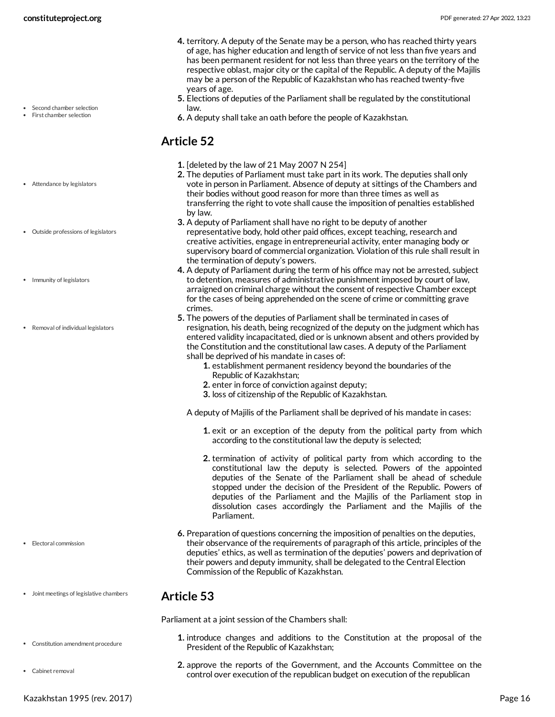- **4.** territory. A deputy of the Senate may be a person, who has reached thirty years of age, has higher education and length of service of not less than five years and has been permanent resident for not less than three years on the territory of the respective oblast, major city or the capital of the Republic. A deputy of the Majilis may be a person of the Republic of Kazakhstan who has reached twenty-five years of age.
- **5.** Elections of deputies of the Parliament shall be regulated by the constitutional law.
- <span id="page-15-0"></span>**6.** A deputy shall take an oath before the people of Kazakhstan.

- **1.** [deleted by the law of 21 May 2007 N 254]
- **2.** The deputies of Parliament must take part in its work. The deputies shall only vote in person in Parliament. Absence of deputy at sittings of the Chambers and their bodies without good reason for more than three times as well as transferring the right to vote shall cause the imposition of penalties established by law.
- **3.** A deputy of Parliament shall have no right to be deputy of another representative body, hold other paid offices, except teaching, research and creative activities, engage in entrepreneurial activity, enter managing body or supervisory board of commercial organization. Violation of this rule shall result in the termination of deputy's powers.
- **4.** A deputy of Parliament during the term of his office may not be arrested, subject to detention, measures of administrative punishment imposed by court of law, arraigned on criminal charge without the consent of respective Chamber except for the cases of being apprehended on the scene of crime or committing grave crimes.
- **5.** The powers of the deputies of Parliament shall be terminated in cases of resignation, his death, being recognized of the deputy on the judgment which has entered validity incapacitated, died or is unknown absent and others provided by the Constitution and the constitutional law cases. A deputy of the Parliament shall be deprived of his mandate in cases of:
	- **1.** establishment permanent residency beyond the boundaries of the Republic of Kazakhstan;
	- **2.** enter in force of conviction against deputy;
	- **3.** loss of citizenship of the Republic of Kazakhstan.

A deputy of Majilis of the Parliament shall be deprived of his mandate in cases:

- **1.** exit or an exception of the deputy from the political party from which according to the constitutional law the deputy is selected;
- **2.** termination of activity of political party from which according to the constitutional law the deputy is selected. Powers of the appointed deputies of the Senate of the Parliament shall be ahead of schedule stopped under the decision of the President of the Republic. Powers of deputies of the Parliament and the Majilis of the Parliament stop in dissolution cases accordingly the Parliament and the Majilis of the Parliament.
- **6.** Preparation of questions concerning the imposition of penalties on the deputies, their observance of the requirements of paragraph of this article, principles of the deputies' ethics, as well as termination of the deputies' powers and deprivation of their powers and deputy immunity, shall be delegated to the Central Election Commission of the Republic of Kazakhstan.

#### <span id="page-15-1"></span>**Article 53**

<span id="page-15-2"></span>Parliament at a joint session of the Chambers shall:

- **1.** introduce changes and additions to the Constitution at the proposal of the President of the Republic of Kazakhstan;
- **2.** approve the reports of the Government, and the Accounts Committee on the control over execution of the republican budget on execution of the republican

Second chamber selection

First chamber selection

Attendance by legislators

Outside professions of legislators

- Immunity of legislators
- Removal of individual legislators

- Electoral commission
- Joint meetings of legislative chambers
- Constitution amendment procedure
- Cabinet removal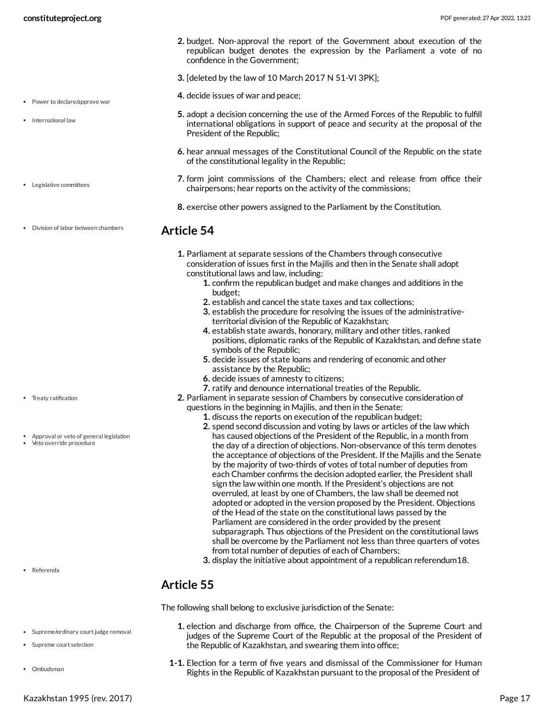• Power to declare/approve war

• International law

- **2.** budget. Non-approval the report of the Government about execution of the republican budget denotes the expression by the Parliament a vote of no confidence in the Government;
- **3.** [deleted by the law of 10 March 2017 N 51-VI 3PK];
- **4.** decide issues of war and peace;
- **5.** adopt a decision concerning the use of the Armed Forces of the Republic to fulfill international obligations in support of peace and security at the proposal of the President of the Republic;
- **6.** hear annual messages of the Constitutional Council of the Republic on the state of the constitutional legality in the Republic;
- **7.** form joint commissions of the Chambers; elect and release from office their chairpersons; hear reports on the activity of the commissions;
- <span id="page-16-0"></span>**8.** exercise other powers assigned to the Parliament by the Constitution.

#### **Article 54**

- **1.** Parliament at separate sessions of the Chambers through consecutive consideration of issues first in the Majilis and then in the Senate shall adopt constitutional laws and law, including:
	- **1.** confirm the republican budget and make changes and additions in the budget;
	- **2.** establish and cancel the state taxes and tax collections;
	- **3.** establish the procedure for resolving the issues of the administrativeterritorial division of the Republic of Kazakhstan;
	- **4.** establish state awards, honorary, military and other titles, ranked positions, diplomatic ranks of the Republic of Kazakhstan, and define state symbols of the Republic;
	- **5.** decide issues of state loans and rendering of economic and other assistance by the Republic;
	- **6.** decide issues of amnesty to citizens;
	- **7.** ratify and denounce international treaties of the Republic.
- **2.** Parliament in separate session of Chambers by consecutive consideration of questions in the beginning in Majilis, and then in the Senate:
	- **1.** discuss the reports on execution of the republican budget;
	- **2.** spend second discussion and voting by laws or articles of the law which has caused objections of the President of the Republic, in a month from the day of a direction of objections. Non-observance of this term denotes the acceptance of objections of the President. If the Majilis and the Senate by the majority of two-thirds of votes of total number of deputies from each Chamber confirms the decision adopted earlier, the President shall sign the law within one month. If the President's objections are not overruled, at least by one of Chambers, the law shall be deemed not adopted or adopted in the version proposed by the President. Objections of the Head of the state on the constitutional laws passed by the Parliament are considered in the order provided by the present subparagraph. Thus objections of the President on the constitutional laws shall be overcome by the Parliament not less than three quarters of votes from total number of deputies of each of Chambers;
	- **3.** display the initiative about appointment of a republican referendum18.

### <span id="page-16-1"></span>**Article 55**

<span id="page-16-2"></span>The following shall belong to exclusive jurisdiction of the Senate:

- **1.** election and discharge from office, the Chairperson of the Supreme Court and judges of the Supreme Court of the Republic at the proposal of the President of the Republic of Kazakhstan, and swearing them into office;
- **1-1.** Election for a term of five years and dismissal of the Commissioner for Human Rights in the Republic of Kazakhstan pursuant to the proposal of the President of
- Legislative committees
- Division of labor between chambers

- Treaty ratification
- Approval or veto of general legislation
- Veto override procedure

Referenda

• Supreme/ordinary court judge removal

Supreme court selection

Ombudsman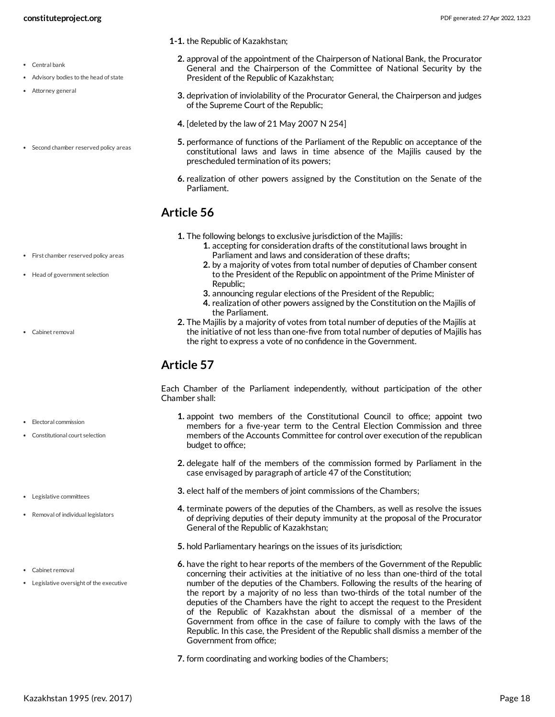- Central bank
- Advisory bodies to the head of state
- Attorney general
- Second chamber reserved policy areas
- **1-1.** the Republic of Kazakhstan;
	- **2.** approval of the appointment of the Chairperson of National Bank, the Procurator General and the Chairperson of the Committee of National Security by the President of the Republic of Kazakhstan;
	- **3.** deprivation of inviolability of the Procurator General, the Chairperson and judges of the Supreme Court of the Republic;
	- **4.** [deleted by the law of 21 May 2007 N 254]
	- **5.** performance of functions of the Parliament of the Republic on acceptance of the constitutional laws and laws in time absence of the Majilis caused by the prescheduled termination of its powers;
	- **6.** realization of other powers assigned by the Constitution on the Senate of the Parliament.

- <span id="page-17-0"></span>**1.** The following belongs to exclusive jurisdiction of the Majilis:
	- **1.** accepting for consideration drafts of the constitutional laws brought in Parliament and laws and consideration of these drafts;
	- **2.** by a majority of votes from total number of deputies of Chamber consent to the President of the Republic on appointment of the Prime Minister of Republic;
	- **3.** announcing regular elections of the President of the Republic;
	- **4.** realization of other powers assigned by the Constitution on the Majilis of the Parliament.
- **2.** The Majilis by a majority of votes from total number of deputies of the Majilis at the initiative of not less than one-five from total number of deputies of Majilis has the right to express a vote of no confidence in the Government.

### <span id="page-17-1"></span>**Article 57**

<span id="page-17-2"></span>Each Chamber of the Parliament independently, without participation of the other Chamber shall:

- **1.** appoint two members of the Constitutional Council to office; appoint two members for a five-year term to the Central Election Commission and three members of the Accounts Committee for control over execution of the republican budget to office;
- **2.** delegate half of the members of the commission formed by Parliament in the case envisaged by paragraph of article 47 of the Constitution;
- **3.** elect half of the members of joint commissions of the Chambers;
- **4.** terminate powers of the deputies of the Chambers, as well as resolve the issues of depriving deputies of their deputy immunity at the proposal of the Procurator General of the Republic of Kazakhstan;
- **5.** hold Parliamentary hearings on the issues of its jurisdiction;
- **6.** have the right to hear reports of the members of the Government of the Republic concerning their activities at the initiative of no less than one-third of the total number of the deputies of the Chambers. Following the results of the hearing of the report by a majority of no less than two-thirds of the total number of the deputies of the Chambers have the right to accept the request to the President of the Republic of Kazakhstan about the dismissal of a member of the Government from office in the case of failure to comply with the laws of the Republic. In this case, the President of the Republic shall dismiss a member of the Government from office;
- **7.** form coordinating and working bodies of the Chambers;

#### First chamber reserved policy areas Head of government selection

Cabinet removal

- Flectoral commission
- Constitutional court selection
- Legislative committees
- Removal of individual legislators
- Cabinet removal
- Legislative oversight of the executive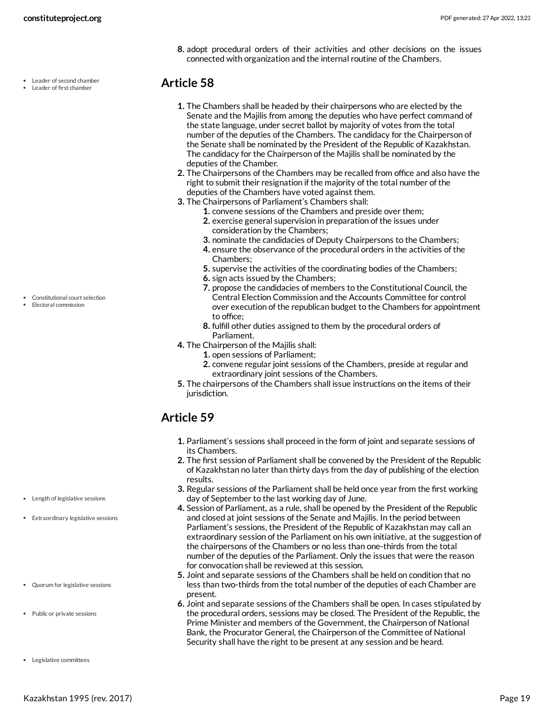Leader of second chamber Leader of first chamber

**8.** adopt procedural orders of their activities and other decisions on the issues connected with organization and the internal routine of the Chambers.

#### <span id="page-18-0"></span>**Article 58**

- **1.** The Chambers shall be headed by their chairpersons who are elected by the Senate and the Majilis from among the deputies who have perfect command of the state language, under secret ballot by majority of votes from the total number of the deputies of the Chambers. The candidacy for the Chairperson of the Senate shall be nominated by the President of the Republic of Kazakhstan. The candidacy for the Chairperson of the Majilis shall be nominated by the deputies of the Chamber.
- **2.** The Chairpersons of the Chambers may be recalled from office and also have the right to submit their resignation if the majority of the total number of the deputies of the Chambers have voted against them.
- **3.** The Chairpersons of Parliament's Chambers shall:
	- **1.** convene sessions of the Chambers and preside over them;
	- **2.** exercise general supervision in preparation of the issues under consideration by the Chambers;
	- **3.** nominate the candidacies of Deputy Chairpersons to the Chambers;
	- **4.** ensure the observance of the procedural orders in the activities of the Chambers;
	- **5.** supervise the activities of the coordinating bodies of the Chambers;
	- **6.** sign acts issued by the Chambers;
	- **7.** propose the candidacies of members to the Constitutional Council, the Central Election Commission and the Accounts Committee for control over execution of the republican budget to the Chambers for appointment to office;
	- **8.** fulfill other duties assigned to them by the procedural orders of Parliament.
- **4.** The Chairperson of the Majilis shall:
	- **1.** open sessions of Parliament;
	- **2.** convene regular joint sessions of the Chambers, preside at regular and extraordinary joint sessions of the Chambers.
- **5.** The chairpersons of the Chambers shall issue instructions on the items of their jurisdiction.

### <span id="page-18-1"></span>**Article 59**

- **1.** Parliament's sessions shall proceed in the form of joint and separate sessions of its Chambers.
- **2.** The first session of Parliament shall be convened by the President of the Republic of Kazakhstan no later than thirty days from the day of publishing of the election results.
- **3.** Regular sessions of the Parliament shall be held once year from the first working day of September to the last working day of June.
- **4.** Session of Parliament, as a rule, shall be opened by the President of the Republic and closed at joint sessions of the Senate and Majilis. In the period between Parliament's sessions, the President of the Republic of Kazakhstan may call an extraordinary session of the Parliament on his own initiative, at the suggestion of the chairpersons of the Chambers or no less than one-thirds from the total number of the deputies of the Parliament. Only the issues that were the reason for convocation shall be reviewed at this session.
- **5.** Joint and separate sessions of the Chambers shall be held on condition that no less than two-thirds from the total number of the deputies of each Chamber are present.
- <span id="page-18-2"></span>**6.** Joint and separate sessions of the Chambers shall be open. In cases stipulated by the procedural orders, sessions may be closed. The President of the Republic, the Prime Minister and members of the Government, the Chairperson of National Bank, the Procurator General, the Chairperson of the Committee of National Security shall have the right to be present at any session and be heard.

Constitutional court selection

Electoral commission

Extraordinary legislative sessions

Length of legislative sessions

- Quorum for legislative sessions
- Public or private sessions
- Legislative committees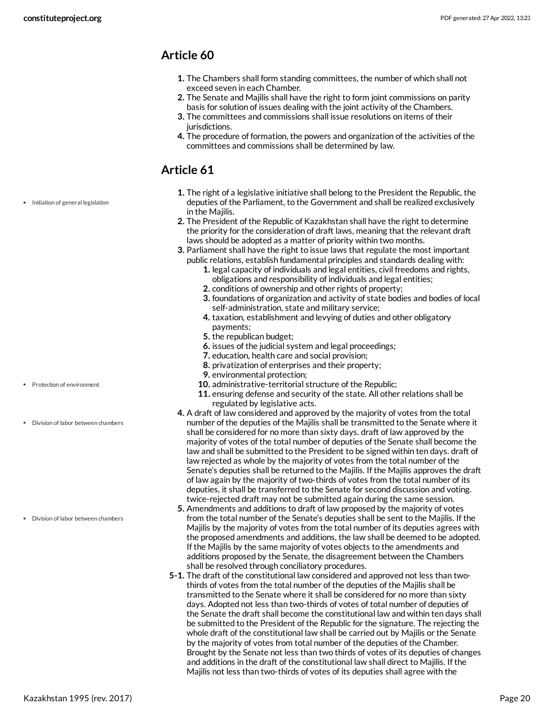- <span id="page-19-0"></span>**1.** The Chambers shall form standing committees, the number of which shall not exceed seven in each Chamber.
- **2.** The Senate and Majilis shall have the right to form joint commissions on parity basis for solution of issues dealing with the joint activity of the Chambers.
- **3.** The committees and commissions shall issue resolutions on items of their jurisdictions.
- **4.** The procedure of formation, the powers and organization of the activities of the committees and commissions shall be determined by law.

### <span id="page-19-1"></span>**Article 61**

- Initiation of general legislation
- **1.** The right of a legislative initiative shall belong to the President the Republic, the deputies of the Parliament, to the Government and shall be realized exclusively in the Majilis.
- **2.** The President of the Republic of Kazakhstan shall have the right to determine the priority for the consideration of draft laws, meaning that the relevant draft laws should be adopted as a matter of priority within two months.
- **3.** Parliament shall have the right to issue laws that regulate the most important public relations, establish fundamental principles and standards dealing with:
	- **1.** legal capacity of individuals and legal entities, civil freedoms and rights, obligations and responsibility of individuals and legal entities;
	- **2.** conditions of ownership and other rights of property;
	- **3.** foundations of organization and activity of state bodies and bodies of local self-administration, state and military service;
	- **4.** taxation, establishment and levying of duties and other obligatory payments;
	- **5.** the republican budget;
	- **6.** issues of the judicial system and legal proceedings;
	- **7.** education, health care and social provision;
	- **8.** privatization of enterprises and their property;
	- **9.** environmental protection;
	- **10.** administrative-territorial structure of the Republic;
	- **11.** ensuring defense and security of the state. All other relations shall be regulated by legislative acts.
- **4.** A draft of law considered and approved by the majority of votes from the total number of the deputies of the Majilis shall be transmitted to the Senate where it shall be considered for no more than sixty days. draft of law approved by the majority of votes of the total number of deputies of the Senate shall become the law and shall be submitted to the President to be signed within ten days. draft of law rejected as whole by the majority of votes from the total number of the Senate's deputies shall be returned to the Majilis. If the Majilis approves the draft of law again by the majority of two-thirds of votes from the total number of its deputies, it shall be transferred to the Senate for second discussion and voting. twice-rejected draft may not be submitted again during the same session.
- **5.** Amendments and additions to draft of law proposed by the majority of votes from the total number of the Senate's deputies shall be sent to the Majilis. If the Majilis by the majority of votes from the total number of its deputies agrees with the proposed amendments and additions, the law shall be deemed to be adopted. If the Majilis by the same majority of votes objects to the amendments and additions proposed by the Senate, the disagreement between the Chambers shall be resolved through conciliatory procedures.
- **5-1.** The draft of the constitutional law considered and approved not less than twothirds of votes from the total number of the deputies of the Majilis shall be transmitted to the Senate where it shall be considered for no more than sixty days. Adopted not less than two-thirds of votes of total number of deputies of the Senate the draft shall become the constitutional law and within ten days shall be submitted to the President of the Republic for the signature. The rejecting the whole draft of the constitutional law shall be carried out by Majilis or the Senate by the majority of votes from total number of the deputies of the Chamber. Brought by the Senate not less than two thirds of votes of its deputies of changes and additions in the draft of the constitutional law shall direct to Majilis. If the Majilis not less than two-thirds of votes of its deputies shall agree with the
- Protection of environment
- Division of labor between chambers

Division of labor between chambers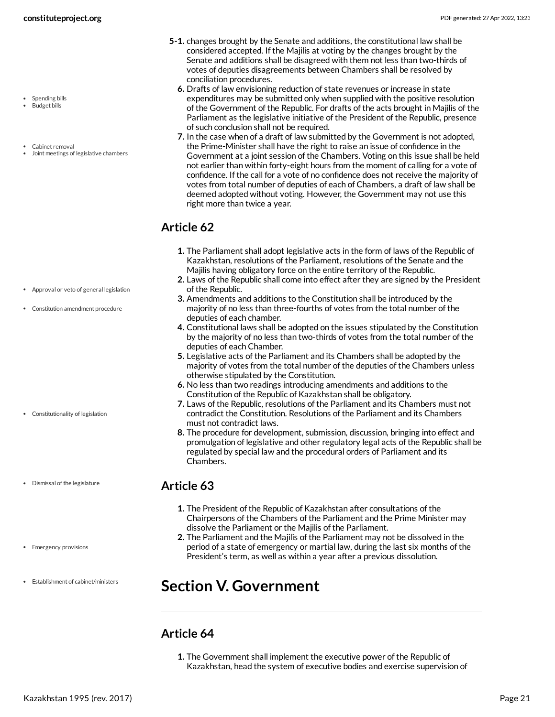- Spending bills Budget bills
- 
- Cabinet removal
- Joint meetings of legislative chambers

- Approval or veto of general legislation
- Constitution amendment procedure

- Constitutionality of legislation
- Dismissal of the legislature
- Emergency provisions
- Establishment of cabinet/ministers
- **5-1.** changes brought by the Senate and additions, the constitutional law shall be considered accepted. If the Majilis at voting by the changes brought by the Senate and additions shall be disagreed with them not less than two-thirds of votes of deputies disagreements between Chambers shall be resolved by conciliation procedures.
	- **6.** Drafts of law envisioning reduction of state revenues or increase in state expenditures may be submitted only when supplied with the positive resolution of the Government of the Republic. For drafts of the acts brought in Majilis of the Parliament as the legislative initiative of the President of the Republic, presence of such conclusion shall not be required.
	- **7.** In the case when of a draft of law submitted by the Government is not adopted, the Prime-Minister shall have the right to raise an issue of confidence in the Government at a joint session of the Chambers. Voting on this issue shall be held not earlier than within forty-eight hours from the moment of calling for a vote of confidence. If the call for a vote of no confidence does not receive the majority of votes from total number of deputies of each of Chambers, a draft of law shall be deemed adopted without voting. However, the Government may not use this right more than twice a year.

- <span id="page-20-0"></span>**1.** The Parliament shall adopt legislative acts in the form of laws of the Republic of Kazakhstan, resolutions of the Parliament, resolutions of the Senate and the Majilis having obligatory force on the entire territory of the Republic.
- **2.** Laws of the Republic shall come into effect after they are signed by the President of the Republic.
- **3.** Amendments and additions to the Constitution shall be introduced by the majority of no less than three-fourths of votes from the total number of the deputies of each chamber.
- **4.** Constitutional laws shall be adopted on the issues stipulated by the Constitution by the majority of no less than two-thirds of votes from the total number of the deputies of each Chamber.
- **5.** Legislative acts of the Parliament and its Chambers shall be adopted by the majority of votes from the total number of the deputies of the Chambers unless otherwise stipulated by the Constitution.
- **6.** No less than two readings introducing amendments and additions to the Constitution of the Republic of Kazakhstan shall be obligatory.
- **7.** Laws of the Republic, resolutions of the Parliament and its Chambers must not contradict the Constitution. Resolutions of the Parliament and its Chambers must not contradict laws.
- **8.** The procedure for development, submission, discussion, bringing into effect and promulgation of legislative and other regulatory legal acts of the Republic shall be regulated by special law and the procedural orders of Parliament and its Chambers.

#### <span id="page-20-1"></span>**Article 63**

- **1.** The President of the Republic of Kazakhstan after consultations of the Chairpersons of the Chambers of the Parliament and the Prime Minister may dissolve the Parliament or the Majilis of the Parliament.
- **2.** The Parliament and the Majilis of the Parliament may not be dissolved in the period of a state of emergency or martial law, during the last six months of the President's term, as well as within a year after a previous dissolution.

### <span id="page-20-2"></span>**Section V. Government**

#### <span id="page-20-3"></span>**Article 64**

**1.** The Government shall implement the executive power of the Republic of Kazakhstan, head the system of executive bodies and exercise supervision of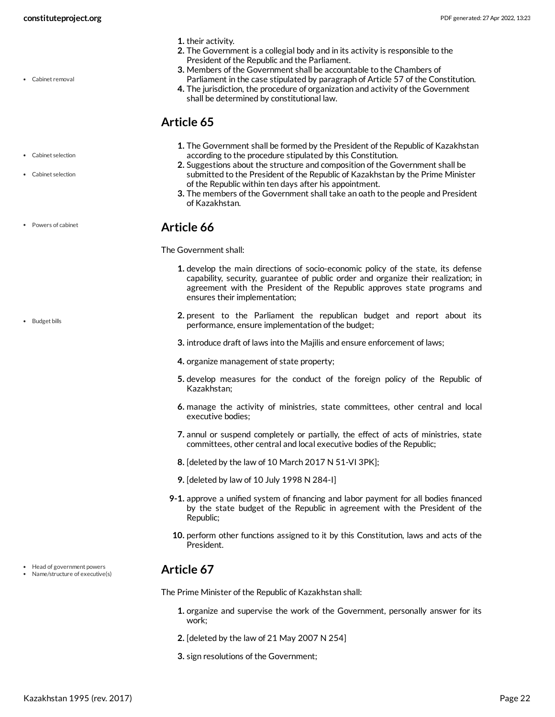Cabinet removal

- **1.** their activity.
- **2.** The Government is a collegial body and in its activity is responsible to the President of the Republic and the Parliament.
- **3.** Members of the Government shall be accountable to the Chambers of Parliament in the case stipulated by paragraph of Article 57 of the Constitution.
- **4.** The jurisdiction, the procedure of organization and activity of the Government shall be determined by constitutional law.

#### <span id="page-21-0"></span>**Article 65**

- **1.** The Government shall be formed by the President of the Republic of Kazakhstan according to the procedure stipulated by this Constitution.
- **2.** Suggestions about the structure and composition of the Government shall be submitted to the President of the Republic of Kazakhstan by the Prime Minister of the Republic within ten days after his appointment.
- **3.** The members of the Government shall take an oath to the people and President of Kazakhstan.

#### <span id="page-21-1"></span>**Article 66**

<span id="page-21-3"></span>The Government shall:

- **1.** develop the main directions of socio-economic policy of the state, its defense capability, security, guarantee of public order and organize their realization; in agreement with the President of the Republic approves state programs and ensures their implementation;
- **2.** present to the Parliament the republican budget and report about its performance, ensure implementation of the budget;
- **3.** introduce draft of laws into the Majilis and ensure enforcement of laws;
- **4.** organize management of state property;
- **5.** develop measures for the conduct of the foreign policy of the Republic of Kazakhstan;
- **6.** manage the activity of ministries, state committees, other central and local executive bodies;
- **7.** annul or suspend completely or partially, the effect of acts of ministries, state committees, other central and local executive bodies of the Republic;
- **8.** [deleted by the law of 10 March 2017 N 51-VI 3PK];
- **9.** [deleted by law of 10 July 1998 N 284-I]
- **9-1.** approve a unified system of financing and labor payment for all bodies financed by the state budget of the Republic in agreement with the President of the Republic;
- **10.** perform other functions assigned to it by this Constitution, laws and acts of the President.

### <span id="page-21-2"></span>**Article 67**

<span id="page-21-4"></span>The Prime Minister of the Republic of Kazakhstan shall:

- **1.** organize and supervise the work of the Government, personally answer for its work;
- **2.** [deleted by the law of 21 May 2007 N 254]
- **3.** sign resolutions of the Government;

Cabinet selection

Cabinet selection

Powers of cabinet

```
Budget bills
```
• Head of government powers Name/structure of executive(s)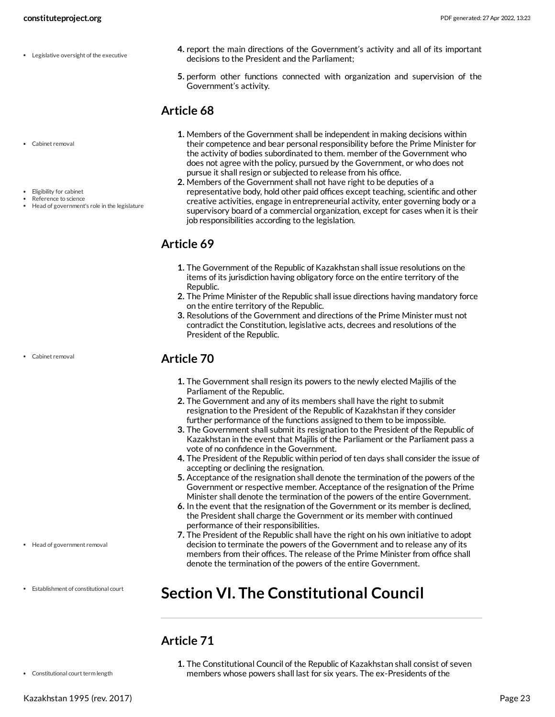- Legislative oversight of the executive
- **constituteproject.org** PDF generated: 27 Apr 2022, 13:23
	- **4.** report the main directions of the Government's activity and all of its important decisions to the President and the Parliament;
	- **5.** perform other functions connected with organization and supervision of the Government's activity.

- Cabinet removal
- Eligibility for cabinet Reference to science
- Head of government's role in the legislature

Cabinet removal

<span id="page-22-0"></span>**1.** Members of the Government shall be independent in making decisions within their competence and bear personal responsibility before the Prime Minister for the activity of bodies subordinated to them. member of the Government who does not agree with the policy, pursued by the Government, or who does not pursue it shall resign or subjected to release from his office.

**2.** Members of the Government shall not have right to be deputies of a representative body, hold other paid offices except teaching, scientific and other creative activities, engage in entrepreneurial activity, enter governing body or a supervisory board of a commercial organization, except for cases when it is their job responsibilities according to the legislation.

### <span id="page-22-1"></span>**Article 69**

- **1.** The Government of the Republic of Kazakhstan shall issue resolutions on the items of its jurisdiction having obligatory force on the entire territory of the Republic.
- **2.** The Prime Minister of the Republic shall issue directions having mandatory force on the entire territory of the Republic.
- **3.** Resolutions of the Government and directions of the Prime Minister must not contradict the Constitution, legislative acts, decrees and resolutions of the President of the Republic.

### <span id="page-22-2"></span>**Article 70**

- **1.** The Government shall resign its powers to the newly elected Majilis of the Parliament of the Republic.
- **2.** The Government and any of its members shall have the right to submit resignation to the President of the Republic of Kazakhstan if they consider further performance of the functions assigned to them to be impossible.
- **3.** The Government shall submit its resignation to the President of the Republic of Kazakhstan in the event that Majilis of the Parliament or the Parliament pass a vote of no confidence in the Government.
- **4.** The President of the Republic within period of ten days shall consider the issue of accepting or declining the resignation.
- **5.** Acceptance of the resignation shall denote the termination of the powers of the Government or respective member. Acceptance of the resignation of the Prime Minister shall denote the termination of the powers of the entire Government.
- **6.** In the event that the resignation of the Government or its member is declined, the President shall charge the Government or its member with continued performance of their responsibilities.
- **7.** The President of the Republic shall have the right on his own initiative to adopt decision to terminate the powers of the Government and to release any of its members from their offices. The release of the Prime Minister from office shall denote the termination of the powers of the entire Government.

### <span id="page-22-3"></span>**Section VI. The Constitutional Council**

### <span id="page-22-4"></span>**Article 71**

• Constitutional court term length

Head of government removal

Establishment of constitutional court

**1.** The Constitutional Council of the Republic of Kazakhstan shall consist of seven members whose powers shall last for six years. The ex-Presidents of the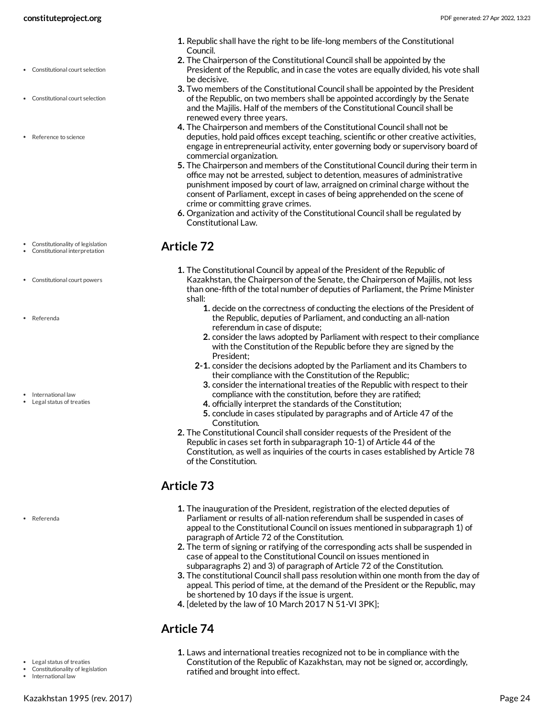- Constitutional court selection
- Constitutional court selection
- Reference to science

- Constitutionality of legislation Constitutional interpretation
- Constitutional court powers
- Referenda
- International law
- Legal status of treaties

Referenda

- Legal status of treaties
- Constitutionality of legislation
- International law
- **1.** Republic shall have the right to be life-long members of the Constitutional Council.
- **2.** The Chairperson of the Constitutional Council shall be appointed by the President of the Republic, and in case the votes are equally divided, his vote shall be decisive.
- **3.** Two members of the Constitutional Council shall be appointed by the President of the Republic, on two members shall be appointed accordingly by the Senate and the Majilis. Half of the members of the Constitutional Council shall be renewed every three years.
- **4.** The Chairperson and members of the Constitutional Council shall not be deputies, hold paid offices except teaching, scientific or other creative activities, engage in entrepreneurial activity, enter governing body or supervisory board of commercial organization.
- **5.** The Chairperson and members of the Constitutional Council during their term in office may not be arrested, subject to detention, measures of administrative punishment imposed by court of law, arraigned on criminal charge without the consent of Parliament, except in cases of being apprehended on the scene of crime or committing grave crimes.
- **6.** Organization and activity of the Constitutional Council shall be regulated by Constitutional Law.

### <span id="page-23-0"></span>**Article 72**

- **1.** The Constitutional Council by appeal of the President of the Republic of Kazakhstan, the Chairperson of the Senate, the Chairperson of Majilis, not less than one-fifth of the total number of deputies of Parliament, the Prime Minister shall:
	- **1.** decide on the correctness of conducting the elections of the President of the Republic, deputies of Parliament, and conducting an all-nation referendum in case of dispute;
	- **2.** consider the laws adopted by Parliament with respect to their compliance with the Constitution of the Republic before they are signed by the President;
	- **2-1.** consider the decisions adopted by the Parliament and its Chambers to their compliance with the Constitution of the Republic;
		- **3.** consider the international treaties of the Republic with respect to their compliance with the constitution, before they are ratified;
		- **4.** officially interpret the standards of the Constitution;
	- **5.** conclude in cases stipulated by paragraphs and of Article 47 of the Constitution.
- **2.** The Constitutional Council shall consider requests of the President of the Republic in cases set forth in subparagraph 10-1) of Article 44 of the Constitution, as well as inquiries of the courts in cases established by Article 78 of the Constitution.

### <span id="page-23-1"></span>**Article 73**

- **1.** The inauguration of the President, registration of the elected deputies of Parliament or results of all-nation referendum shall be suspended in cases of appeal to the Constitutional Council on issues mentioned in subparagraph 1) of paragraph of Article 72 of the Constitution.
- **2.** The term of signing or ratifying of the corresponding acts shall be suspended in case of appeal to the Constitutional Council on issues mentioned in subparagraphs 2) and 3) of paragraph of Article 72 of the Constitution.
- **3.** The constitutional Council shall pass resolution within one month from the day of appeal. This period of time, at the demand of the President or the Republic, may be shortened by 10 days if the issue is urgent.
- **4.** [deleted by the law of 10 March 2017 N 51-VI 3PK];

### <span id="page-23-2"></span>**Article 74**

**1.** Laws and international treaties recognized not to be in compliance with the Constitution of the Republic of Kazakhstan, may not be signed or, accordingly, ratified and brought into effect.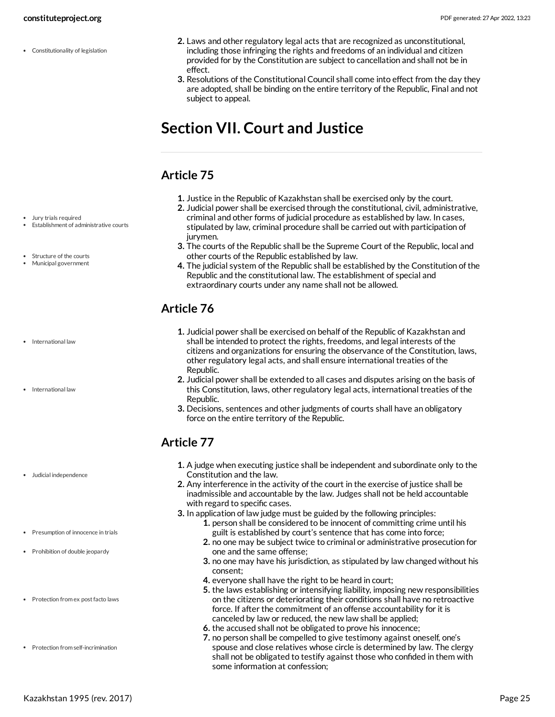Constitutionality of legislation

- **2.** Laws and other regulatory legal acts that are recognized as unconstitutional, including those infringing the rights and freedoms of an individual and citizen provided for by the Constitution are subject to cancellation and shall not be in effect.
- **3.** Resolutions of the Constitutional Council shall come into effect from the day they are adopted, shall be binding on the entire territory of the Republic, Final and not subject to appeal.

## <span id="page-24-0"></span>**Section VII. Court and Justice**

### <span id="page-24-1"></span>**Article 75**

- **1.** Justice in the Republic of Kazakhstan shall be exercised only by the court.
- **2.** Judicial power shall be exercised through the constitutional, civil, administrative, criminal and other forms of judicial procedure as established by law. In cases, stipulated by law, criminal procedure shall be carried out with participation of jurvmen.
- **3.** The courts of the Republic shall be the Supreme Court of the Republic, local and other courts of the Republic established by law.
- **4.** The judicial system of the Republic shall be established by the Constitution of the Republic and the constitutional law. The establishment of special and extraordinary courts under any name shall not be allowed.

### <span id="page-24-2"></span>**Article 76**

- **1.** Judicial power shall be exercised on behalf of the Republic of Kazakhstan and shall be intended to protect the rights, freedoms, and legal interests of the citizens and organizations for ensuring the observance of the Constitution, laws, other regulatory legal acts, and shall ensure international treaties of the Republic.
- **2.** Judicial power shall be extended to all cases and disputes arising on the basis of this Constitution, laws, other regulatory legal acts, international treaties of the Republic.
- **3.** Decisions, sentences and other judgments of courts shall have an obligatory force on the entire territory of the Republic.

### <span id="page-24-3"></span>**Article 77**

- **1.** A judge when executing justice shall be independent and subordinate only to the Constitution and the law.
- **2.** Any interference in the activity of the court in the exercise of justice shall be inadmissible and accountable by the law. Judges shall not be held accountable with regard to specific cases.
- **3.** In application of law judge must be guided by the following principles:
	- **1.** person shall be considered to be innocent of committing crime until his guilt is established by court's sentence that has come into force;
	- **2.** no one may be subject twice to criminal or administrative prosecution for one and the same offense;
	- **3.** no one may have his jurisdiction, as stipulated by law changed without his consent;
	- **4.** everyone shall have the right to be heard in court;
	- **5.** the laws establishing or intensifying liability, imposing new responsibilities on the citizens or deteriorating their conditions shall have no retroactive force. If after the commitment of an offense accountability for it is canceled by law or reduced, the new law shall be applied;
	- **6.** the accused shall not be obligated to prove his innocence;
	- **7.** no person shall be compelled to give testimony against oneself, one's spouse and close relatives whose circle is determined by law. The clergy shall not be obligated to testify against those who confided in them with some information at confession;

Jury trials required

- Establishment of administrative courts
- Structure of the courts
- Municipal government
- International law
- International law

- Judicial independence
- Presumption of innocence in trials
- Prohibition of double jeopardy
- Protection from ex post facto laws
- Protection from self-incrimination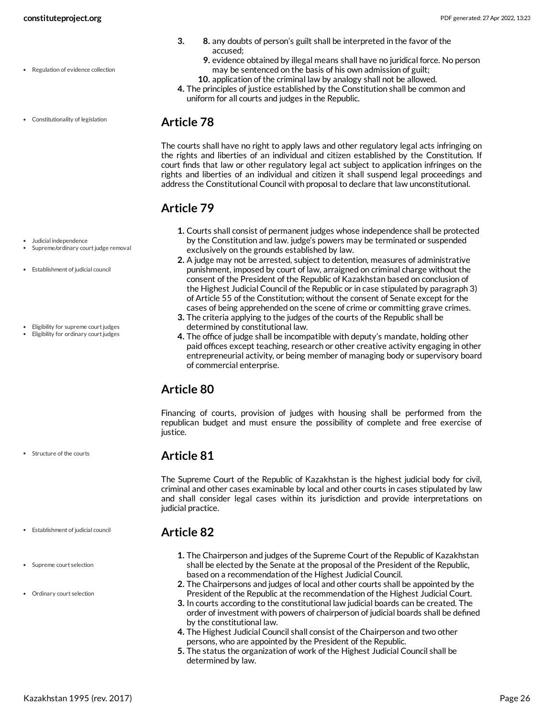Constitutionality of legislation

- **3. 8.** any doubts of person's guilt shall be interpreted in the favor of the accused;
	- **9.** evidence obtained by illegal means shall have no juridical force. No person may be sentenced on the basis of his own admission of guilt;
- **10.** application of the criminal law by analogy shall not be allowed. **4.** The principles of justice established by the Constitution shall be common and
- uniform for all courts and judges in the Republic.

#### <span id="page-25-0"></span>**Article 78**

The courts shall have no right to apply laws and other regulatory legal acts infringing on the rights and liberties of an individual and citizen established by the Constitution. If court finds that law or other regulatory legal act subject to application infringes on the rights and liberties of an individual and citizen it shall suspend legal proceedings and address the Constitutional Council with proposal to declare that law unconstitutional.

### <span id="page-25-1"></span>**Article 79**

- **1.** Courts shall consist of permanent judges whose independence shall be protected by the Constitution and law. judge's powers may be terminated or suspended exclusively on the grounds established by law.
- **2.** A judge may not be arrested, subject to detention, measures of administrative punishment, imposed by court of law, arraigned on criminal charge without the consent of the President of the Republic of Kazakhstan based on conclusion of the Highest Judicial Council of the Republic or in case stipulated by paragraph 3) of Article 55 of the Constitution; without the consent of Senate except for the cases of being apprehended on the scene of crime or committing grave crimes.
- **3.** The criteria applying to the judges of the courts of the Republic shall be determined by constitutional law.
- **4.** The office of judge shall be incompatible with deputy's mandate, holding other paid offices except teaching, research or other creative activity engaging in other entrepreneurial activity, or being member of managing body or supervisory board of commercial enterprise.

### <span id="page-25-2"></span>**Article 80**

Financing of courts, provision of judges with housing shall be performed from the republican budget and must ensure the possibility of complete and free exercise of justice.

### <span id="page-25-3"></span>**Article 81**

The Supreme Court of the Republic of Kazakhstan is the highest judicial body for civil, criminal and other cases examinable by local and other courts in cases stipulated by law and shall consider legal cases within its jurisdiction and provide interpretations on judicial practice.

### <span id="page-25-4"></span>**Article 82**

- **1.** The Chairperson and judges of the Supreme Court of the Republic of Kazakhstan shall be elected by the Senate at the proposal of the President of the Republic, based on a recommendation of the Highest Judicial Council.
- **2.** The Chairpersons and judges of local and other courts shall be appointed by the President of the Republic at the recommendation of the Highest Judicial Court.
- **3.** In courts according to the constitutional law judicial boards can be created. The order of investment with powers of chairperson of judicial boards shall be defined by the constitutional law.
- **4.** The Highest Judicial Council shall consist of the Chairperson and two other persons, who are appointed by the President of the Republic.
- **5.** The status the organization of work of the Highest Judicial Council shall be determined by law.

#### Judicial independence

- Supreme/ordinary court judge removal
- Establishment of judicial council
- Eligibility for supreme court judges
- Eligibility for ordinary court judges

- Structure of the courts
- Establishment of judicial council
- Supreme court selection
- Ordinary court selection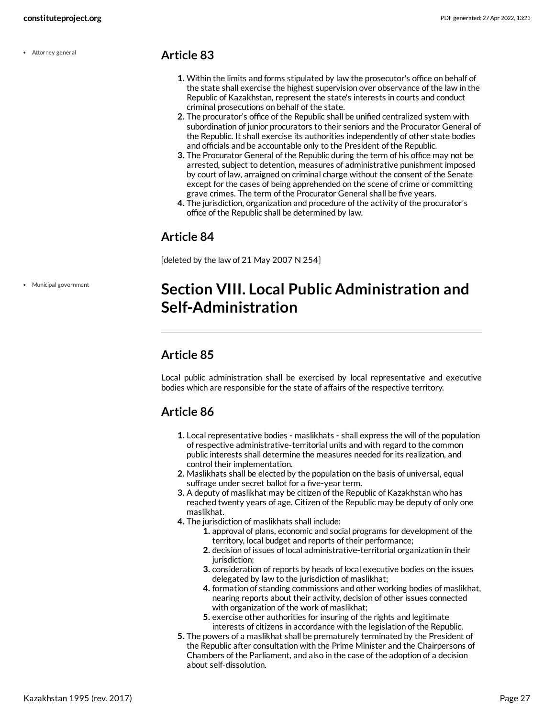Attorney general

#### <span id="page-26-0"></span>**Article 83**

- **1.** Within the limits and forms stipulated by law the prosecutor's office on behalf of the state shall exercise the highest supervision over observance of the law in the Republic of Kazakhstan, represent the state's interests in courts and conduct criminal prosecutions on behalf of the state.
- **2.** The procurator's office of the Republic shall be unified centralized system with subordination of junior procurators to their seniors and the Procurator General of the Republic. It shall exercise its authorities independently of other state bodies and officials and be accountable only to the President of the Republic.
- **3.** The Procurator General of the Republic during the term of his office may not be arrested, subject to detention, measures of administrative punishment imposed by court of law, arraigned on criminal charge without the consent of the Senate except for the cases of being apprehended on the scene of crime or committing grave crimes. The term of the Procurator General shall be five years.
- **4.** The jurisdiction, organization and procedure of the activity of the procurator's office of the Republic shall be determined by law.

#### <span id="page-26-1"></span>**Article 84**

[deleted by the law of 21 May 2007 N 254]

Municipal government

## <span id="page-26-2"></span>**Section VIII. Local Public Administration and Self-Administration**

### <span id="page-26-3"></span>**Article 85**

Local public administration shall be exercised by local representative and executive bodies which are responsible for the state of affairs of the respective territory.

### <span id="page-26-4"></span>**Article 86**

- **1.** Local representative bodies maslikhats shall express the will of the population of respective administrative-territorial units and with regard to the common public interests shall determine the measures needed for its realization, and control their implementation.
- **2.** Maslikhats shall be elected by the population on the basis of universal, equal suffrage under secret ballot for a five-year term.
- **3.** A deputy of maslikhat may be citizen of the Republic of Kazakhstan who has reached twenty years of age. Citizen of the Republic may be deputy of only one maslikhat.
- **4.** The jurisdiction of maslikhats shall include:
	- **1.** approval of plans, economic and social programs for development of the territory, local budget and reports of their performance;
	- **2.** decision of issues of local administrative-territorial organization in their jurisdiction:
	- **3.** consideration of reports by heads of local executive bodies on the issues delegated by law to the jurisdiction of maslikhat;
	- **4.** formation of standing commissions and other working bodies of maslikhat, nearing reports about their activity, decision of other issues connected with organization of the work of maslikhat;
	- **5.** exercise other authorities for insuring of the rights and legitimate interests of citizens in accordance with the legislation of the Republic.
- **5.** The powers of a maslikhat shall be prematurely terminated by the President of the Republic after consultation with the Prime Minister and the Chairpersons of Chambers of the Parliament, and also in the case of the adoption of a decision about self-dissolution.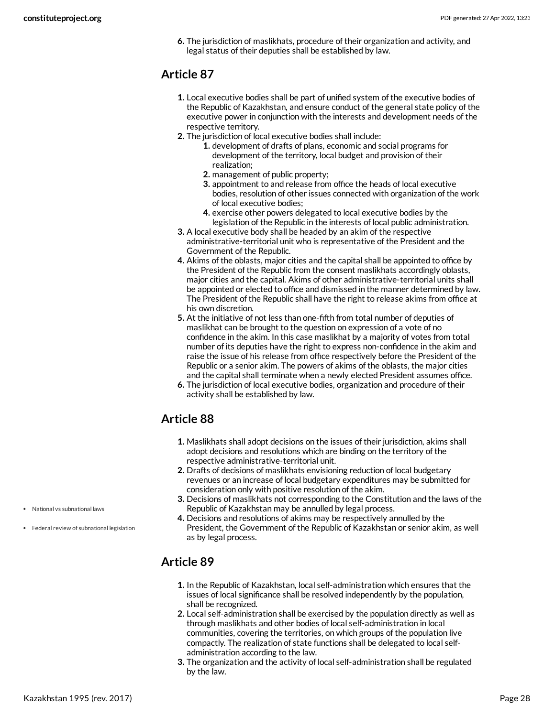**6.** The jurisdiction of maslikhats, procedure of their organization and activity, and legal status of their deputies shall be established by law.

### <span id="page-27-0"></span>**Article 87**

- **1.** Local executive bodies shall be part of unified system of the executive bodies of the Republic of Kazakhstan, and ensure conduct of the general state policy of the executive power in conjunction with the interests and development needs of the respective territory.
- **2.** The jurisdiction of local executive bodies shall include:
	- **1.** development of drafts of plans, economic and social programs for development of the territory, local budget and provision of their realization;
	- **2.** management of public property;
	- **3.** appointment to and release from office the heads of local executive bodies, resolution of other issues connected with organization of the work of local executive bodies;
	- **4.** exercise other powers delegated to local executive bodies by the legislation of the Republic in the interests of local public administration.
- **3.** A local executive body shall be headed by an akim of the respective administrative-territorial unit who is representative of the President and the Government of the Republic.
- **4.** Akims of the oblasts, major cities and the capital shall be appointed to office by the President of the Republic from the consent maslikhats accordingly oblasts, major cities and the capital. Akims of other administrative-territorial units shall be appointed or elected to office and dismissed in the manner determined by law. The President of the Republic shall have the right to release akims from office at his own discretion.
- **5.** At the initiative of not less than one-fifth from total number of deputies of maslikhat can be brought to the question on expression of a vote of no confidence in the akim. In this case maslikhat by a majority of votes from total number of its deputies have the right to express non-confidence in the akim and raise the issue of his release from office respectively before the President of the Republic or a senior akim. The powers of akims of the oblasts, the major cities and the capital shall terminate when a newly elected President assumes office.
- **6.** The jurisdiction of local executive bodies, organization and procedure of their activity shall be established by law.

### <span id="page-27-1"></span>**Article 88**

- **1.** Maslikhats shall adopt decisions on the issues of their jurisdiction, akims shall adopt decisions and resolutions which are binding on the territory of the respective administrative-territorial unit.
- **2.** Drafts of decisions of maslikhats envisioning reduction of local budgetary revenues or an increase of local budgetary expenditures may be submitted for consideration only with positive resolution of the akim.
- **3.** Decisions of maslikhats not corresponding to the Constitution and the laws of the Republic of Kazakhstan may be annulled by legal process.
- **4.** Decisions and resolutions of akims may be respectively annulled by the President, the Government of the Republic of Kazakhstan or senior akim, as well as by legal process.

### <span id="page-27-2"></span>**Article 89**

- **1.** In the Republic of Kazakhstan, local self-administration which ensures that the issues of local significance shall be resolved independently by the population, shall be recognized.
- **2.** Local self-administration shall be exercised by the population directly as well as through maslikhats and other bodies of local self-administration in local communities, covering the territories, on which groups of the population live compactly. The realization of state functions shall be delegated to local selfadministration according to the law.
- **3.** The organization and the activity of local self-administration shall be regulated by the law.

National vs subnational laws

Federal review of subnational legislation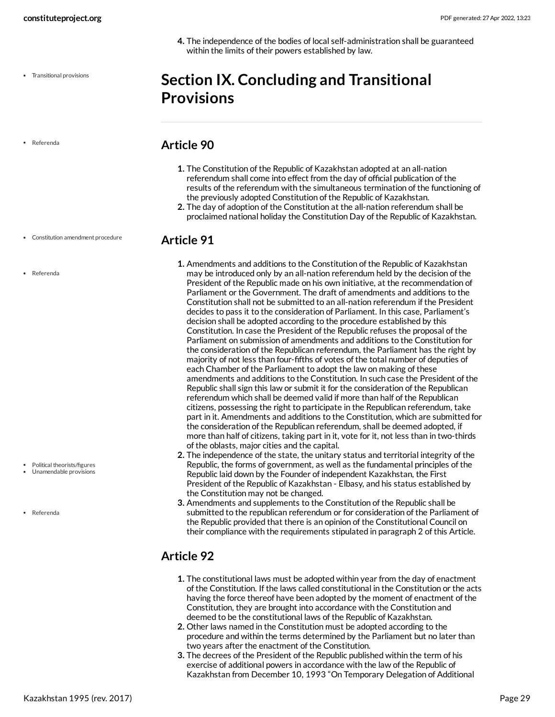**4.** The independence of the bodies of local self-administration shall be guaranteed within the limits of their powers established by law.

### <span id="page-28-0"></span>**Section IX. Concluding and Transitional Provisions**

Referenda

#### • Constitution amendment procedure

Referenda

- Political theorists/figures
- Unamendable provisions

Referenda

#### <span id="page-28-1"></span>**Article 90**

- **1.** The Constitution of the Republic of Kazakhstan adopted at an all-nation referendum shall come into effect from the day of official publication of the results of the referendum with the simultaneous termination of the functioning of the previously adopted Constitution of the Republic of Kazakhstan.
- **2.** The day of adoption of the Constitution at the all-nation referendum shall be proclaimed national holiday the Constitution Day of the Republic of Kazakhstan.

#### <span id="page-28-2"></span>**Article 91**

- **1.** Amendments and additions to the Constitution of the Republic of Kazakhstan may be introduced only by an all-nation referendum held by the decision of the President of the Republic made on his own initiative, at the recommendation of Parliament or the Government. The draft of amendments and additions to the Constitution shall not be submitted to an all-nation referendum if the President decides to pass it to the consideration of Parliament. In this case, Parliament's decision shall be adopted according to the procedure established by this Constitution. In case the President of the Republic refuses the proposal of the Parliament on submission of amendments and additions to the Constitution for the consideration of the Republican referendum, the Parliament has the right by majority of not less than four-fifths of votes of the total number of deputies of each Chamber of the Parliament to adopt the law on making of these amendments and additions to the Constitution. In such case the President of the Republic shall sign this law or submit it for the consideration of the Republican referendum which shall be deemed valid if more than half of the Republican citizens, possessing the right to participate in the Republican referendum, take part in it. Amendments and additions to the Constitution, which are submitted for the consideration of the Republican referendum, shall be deemed adopted, if more than half of citizens, taking part in it, vote for it, not less than in two-thirds of the oblasts, major cities and the capital.
- **2.** The independence of the state, the unitary status and territorial integrity of the Republic, the forms of government, as well as the fundamental principles of the Republic laid down by the Founder of independent Kazakhstan, the First President of the Republic of Kazakhstan - Elbasy, and his status established by the Constitution may not be changed.
- **3.** Amendments and supplements to the Constitution of the Republic shall be submitted to the republican referendum or for consideration of the Parliament of the Republic provided that there is an opinion of the Constitutional Council on their compliance with the requirements stipulated in paragraph 2 of this Article.

### <span id="page-28-3"></span>**Article 92**

- **1.** The constitutional laws must be adopted within year from the day of enactment of the Constitution. If the laws called constitutional in the Constitution or the acts having the force thereof have been adopted by the moment of enactment of the Constitution, they are brought into accordance with the Constitution and deemed to be the constitutional laws of the Republic of Kazakhstan.
- **2.** Other laws named in the Constitution must be adopted according to the procedure and within the terms determined by the Parliament but no later than two years after the enactment of the Constitution.
- **3.** The decrees of the President of the Republic published within the term of his exercise of additional powers in accordance with the law of the Republic of Kazakhstan from December 10, 1993 "On Temporary Delegation of Additional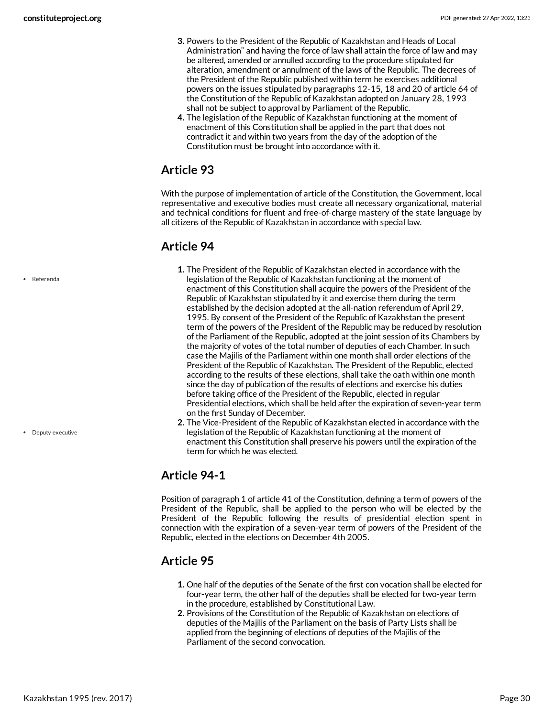- **3.** Powers to the President of the Republic of Kazakhstan and Heads of Local Administration" and having the force of law shall attain the force of law and may be altered, amended or annulled according to the procedure stipulated for alteration, amendment or annulment of the laws of the Republic. The decrees of the President of the Republic published within term he exercises additional powers on the issues stipulated by paragraphs 12-15, 18 and 20 of article 64 of the Constitution of the Republic of Kazakhstan adopted on January 28, 1993 shall not be subject to approval by Parliament of the Republic.
- **4.** The legislation of the Republic of Kazakhstan functioning at the moment of enactment of this Constitution shall be applied in the part that does not contradict it and within two years from the day of the adoption of the Constitution must be brought into accordance with it.

<span id="page-29-0"></span>With the purpose of implementation of article of the Constitution, the Government, local representative and executive bodies must create all necessary organizational, material and technical conditions for fluent and free-of-charge mastery of the state language by all citizens of the Republic of Kazakhstan in accordance with special law.

### <span id="page-29-1"></span>**Article 94**

- **1.** The President of the Republic of Kazakhstan elected in accordance with the legislation of the Republic of Kazakhstan functioning at the moment of enactment of this Constitution shall acquire the powers of the President of the Republic of Kazakhstan stipulated by it and exercise them during the term established by the decision adopted at the all-nation referendum of April 29, 1995. By consent of the President of the Republic of Kazakhstan the present term of the powers of the President of the Republic may be reduced by resolution of the Parliament of the Republic, adopted at the joint session of its Chambers by the majority of votes of the total number of deputies of each Chamber. In such case the Majilis of the Parliament within one month shall order elections of the President of the Republic of Kazakhstan. The President of the Republic, elected according to the results of these elections, shall take the oath within one month since the day of publication of the results of elections and exercise his duties before taking office of the President of the Republic, elected in regular Presidential elections, which shall be held after the expiration of seven-year term on the first Sunday of December.
- **2.** The Vice-President of the Republic of Kazakhstan elected in accordance with the legislation of the Republic of Kazakhstan functioning at the moment of enactment this Constitution shall preserve his powers until the expiration of the term for which he was elected.

### <span id="page-29-2"></span>**Article 94-1**

Position of paragraph 1 of article 41 of the Constitution, defining a term of powers of the President of the Republic, shall be applied to the person who will be elected by the President of the Republic following the results of presidential election spent in connection with the expiration of a seven-year term of powers of the President of the Republic, elected in the elections on December 4th 2005.

### <span id="page-29-3"></span>**Article 95**

- **1.** One half of the deputies of the Senate of the first con vocation shall be elected for four-year term, the other half of the deputies shall be elected for two-year term in the procedure, established by Constitutional Law.
- **2.** Provisions of the Constitution of the Republic of Kazakhstan on elections of deputies of the Majilis of the Parliament on the basis of Party Lists shall be applied from the beginning of elections of deputies of the Majilis of the Parliament of the second convocation.

Referenda

• Deputy executive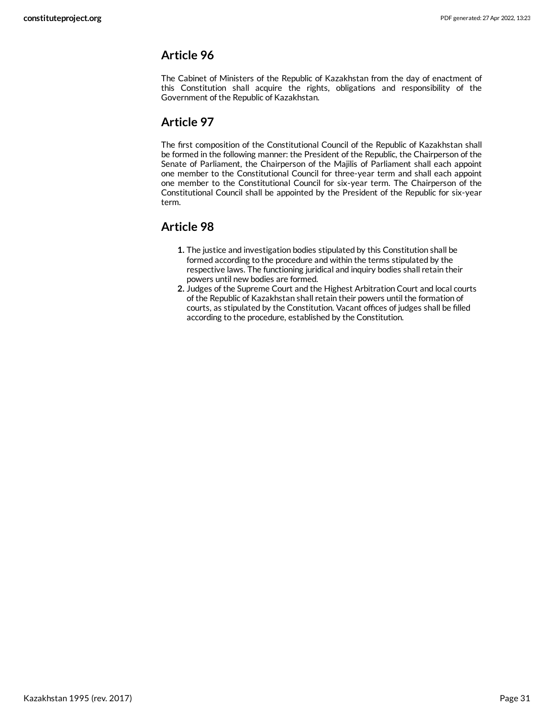<span id="page-30-0"></span>The Cabinet of Ministers of the Republic of Kazakhstan from the day of enactment of this Constitution shall acquire the rights, obligations and responsibility of the Government of the Republic of Kazakhstan.

### <span id="page-30-1"></span>**Article 97**

The first composition of the Constitutional Council of the Republic of Kazakhstan shall be formed in the following manner: the President of the Republic, the Chairperson of the Senate of Parliament, the Chairperson of the Majilis of Parliament shall each appoint one member to the Constitutional Council for three-year term and shall each appoint one member to the Constitutional Council for six-year term. The Chairperson of the Constitutional Council shall be appointed by the President of the Republic for six-year term.

### <span id="page-30-2"></span>**Article 98**

- **1.** The justice and investigation bodies stipulated by this Constitution shall be formed according to the procedure and within the terms stipulated by the respective laws. The functioning juridical and inquiry bodies shall retain their powers until new bodies are formed.
- **2.** Judges of the Supreme Court and the Highest Arbitration Court and local courts of the Republic of Kazakhstan shall retain their powers until the formation of courts, as stipulated by the Constitution. Vacant offices of judges shall be filled according to the procedure, established by the Constitution.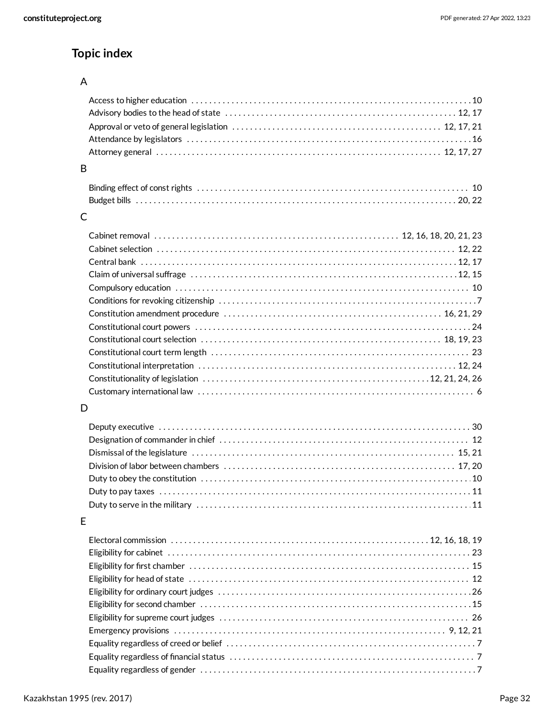### **Topic index**

#### A

| B |  |
|---|--|
|   |  |
|   |  |
| C |  |
|   |  |
|   |  |
|   |  |
|   |  |
|   |  |
|   |  |
|   |  |
|   |  |
|   |  |
|   |  |
|   |  |

#### D

[12,](#page-11-3) [21](#page-20-0), [24,](#page-23-0) [26](#page-25-0) Constitutionality of legislation . . . . . . . . . . . . . . . . . . . . . . . . . . . . . . . . . . . . . . . . . . . . . . . . . . . [6](#page-5-3) Customary international law . . . . . . . . . . . . . . . . . . . . . . . . . . . . . . . . . . . . . . . . . . . . . . . . . . . . . . . . . . . . . .

#### E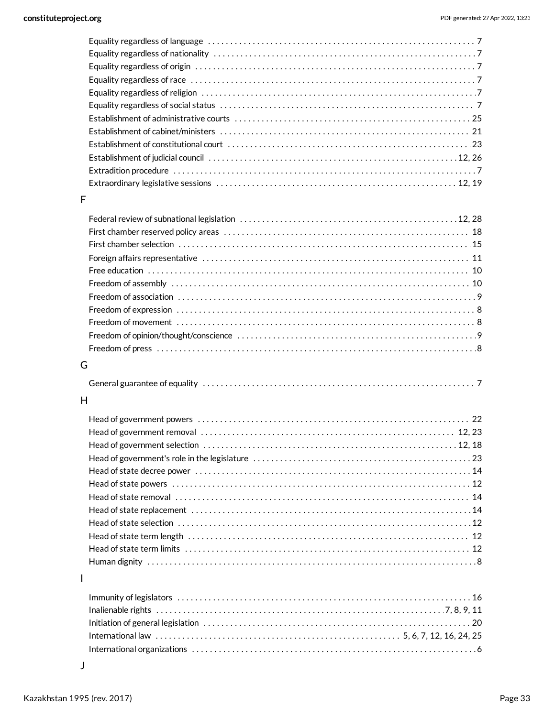#### F

| Freedom of press $\dots\dots\dots\dots\dots\dots\dots\dots\dots\dots\dots\dots\dots\dots\dots\dots\dots\dots$ |  |
|---------------------------------------------------------------------------------------------------------------|--|

#### G

#### H

#### I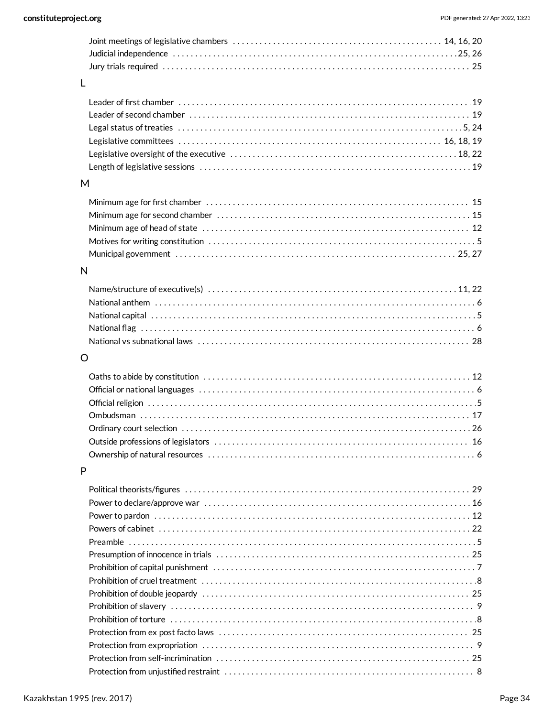#### $M$

#### $\overline{\mathsf{N}}$

#### $\circ$

#### $\mathsf{P}$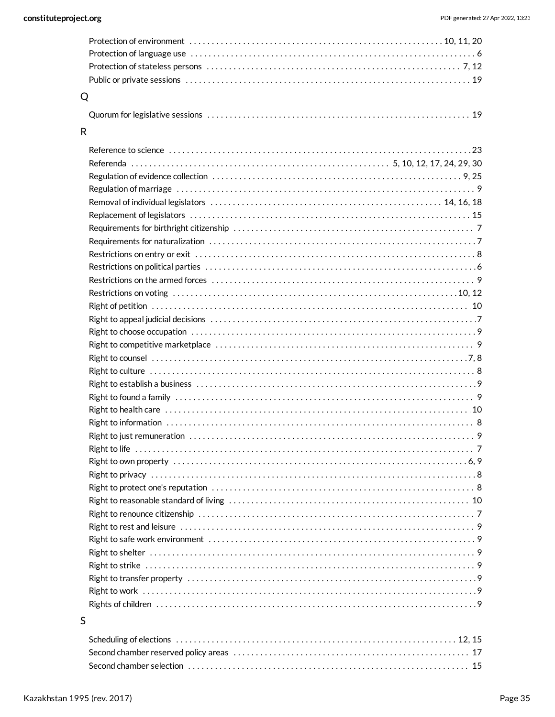| $Q \sim$ |  |
|----------|--|

#### 

| R |  |
|---|--|
|   |  |
|   |  |
|   |  |
|   |  |
|   |  |
|   |  |
|   |  |
|   |  |
|   |  |
|   |  |
|   |  |
|   |  |
|   |  |
|   |  |
|   |  |
|   |  |
|   |  |
|   |  |
|   |  |
|   |  |
|   |  |
|   |  |
|   |  |
|   |  |
|   |  |
|   |  |
|   |  |
|   |  |
|   |  |
|   |  |
|   |  |
|   |  |
|   |  |
|   |  |
|   |  |
|   |  |

#### $\mathsf{S}$